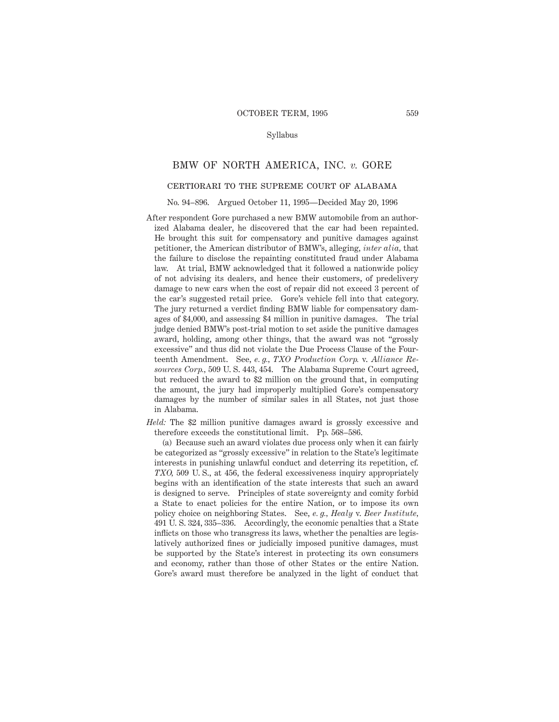#### BMW OF NORTH AMERICA, INC. *v.* GORE

# certiorari to the supreme court of alabama

No. 94–896. Argued October 11, 1995—Decided May 20, 1996

- After respondent Gore purchased a new BMW automobile from an authorized Alabama dealer, he discovered that the car had been repainted. He brought this suit for compensatory and punitive damages against petitioner, the American distributor of BMW's, alleging, *inter alia,* that the failure to disclose the repainting constituted fraud under Alabama law. At trial, BMW acknowledged that it followed a nationwide policy of not advising its dealers, and hence their customers, of predelivery damage to new cars when the cost of repair did not exceed 3 percent of the car's suggested retail price. Gore's vehicle fell into that category. The jury returned a verdict finding BMW liable for compensatory damages of \$4,000, and assessing \$4 million in punitive damages. The trial judge denied BMW's post-trial motion to set aside the punitive damages award, holding, among other things, that the award was not "grossly excessive" and thus did not violate the Due Process Clause of the Fourteenth Amendment. See, *e. g., TXO Production Corp.* v. *Alliance Resources Corp.,* 509 U. S. 443, 454. The Alabama Supreme Court agreed, but reduced the award to \$2 million on the ground that, in computing the amount, the jury had improperly multiplied Gore's compensatory damages by the number of similar sales in all States, not just those in Alabama.
- *Held:* The \$2 million punitive damages award is grossly excessive and therefore exceeds the constitutional limit. Pp. 568–586.

(a) Because such an award violates due process only when it can fairly be categorized as "grossly excessive" in relation to the State's legitimate interests in punishing unlawful conduct and deterring its repetition, cf. *TXO,* 509 U. S., at 456, the federal excessiveness inquiry appropriately begins with an identification of the state interests that such an award is designed to serve. Principles of state sovereignty and comity forbid a State to enact policies for the entire Nation, or to impose its own policy choice on neighboring States. See, *e. g., Healy* v. *Beer Institute,* 491 U. S. 324, 335–336. Accordingly, the economic penalties that a State inflicts on those who transgress its laws, whether the penalties are legislatively authorized fines or judicially imposed punitive damages, must be supported by the State's interest in protecting its own consumers and economy, rather than those of other States or the entire Nation. Gore's award must therefore be analyzed in the light of conduct that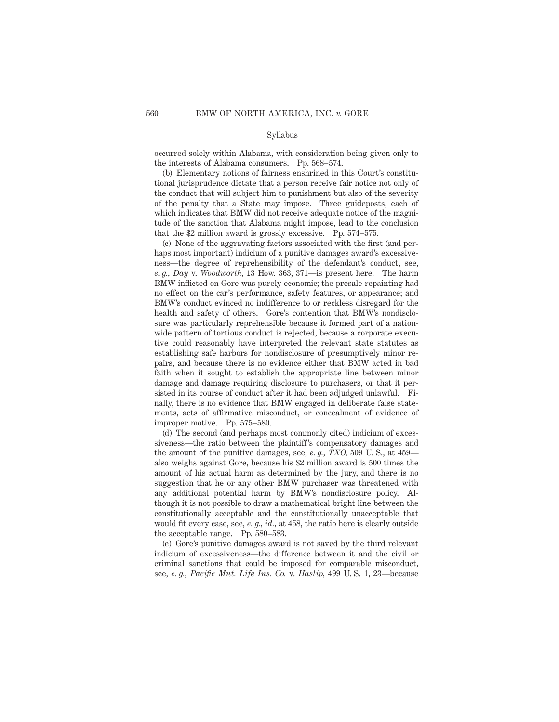occurred solely within Alabama, with consideration being given only to the interests of Alabama consumers. Pp. 568–574.

(b) Elementary notions of fairness enshrined in this Court's constitutional jurisprudence dictate that a person receive fair notice not only of the conduct that will subject him to punishment but also of the severity of the penalty that a State may impose. Three guideposts, each of which indicates that BMW did not receive adequate notice of the magnitude of the sanction that Alabama might impose, lead to the conclusion that the \$2 million award is grossly excessive. Pp. 574–575.

(c) None of the aggravating factors associated with the first (and perhaps most important) indicium of a punitive damages award's excessiveness—the degree of reprehensibility of the defendant's conduct, see, *e. g., Day* v. *Woodworth,* 13 How. 363, 371—is present here. The harm BMW inflicted on Gore was purely economic; the presale repainting had no effect on the car's performance, safety features, or appearance; and BMW's conduct evinced no indifference to or reckless disregard for the health and safety of others. Gore's contention that BMW's nondisclosure was particularly reprehensible because it formed part of a nationwide pattern of tortious conduct is rejected, because a corporate executive could reasonably have interpreted the relevant state statutes as establishing safe harbors for nondisclosure of presumptively minor repairs, and because there is no evidence either that BMW acted in bad faith when it sought to establish the appropriate line between minor damage and damage requiring disclosure to purchasers, or that it persisted in its course of conduct after it had been adjudged unlawful. Finally, there is no evidence that BMW engaged in deliberate false statements, acts of affirmative misconduct, or concealment of evidence of improper motive. Pp. 575–580.

(d) The second (and perhaps most commonly cited) indicium of excessiveness—the ratio between the plaintiff's compensatory damages and the amount of the punitive damages, see, *e. g., TXO,* 509 U. S., at 459 also weighs against Gore, because his \$2 million award is 500 times the amount of his actual harm as determined by the jury, and there is no suggestion that he or any other BMW purchaser was threatened with any additional potential harm by BMW's nondisclosure policy. Although it is not possible to draw a mathematical bright line between the constitutionally acceptable and the constitutionally unacceptable that would fit every case, see, *e. g., id.,* at 458, the ratio here is clearly outside the acceptable range. Pp. 580–583.

(e) Gore's punitive damages award is not saved by the third relevant indicium of excessiveness—the difference between it and the civil or criminal sanctions that could be imposed for comparable misconduct, see, *e. g., Pacific Mut. Life Ins. Co.* v. *Haslip,* 499 U. S. 1, 23—because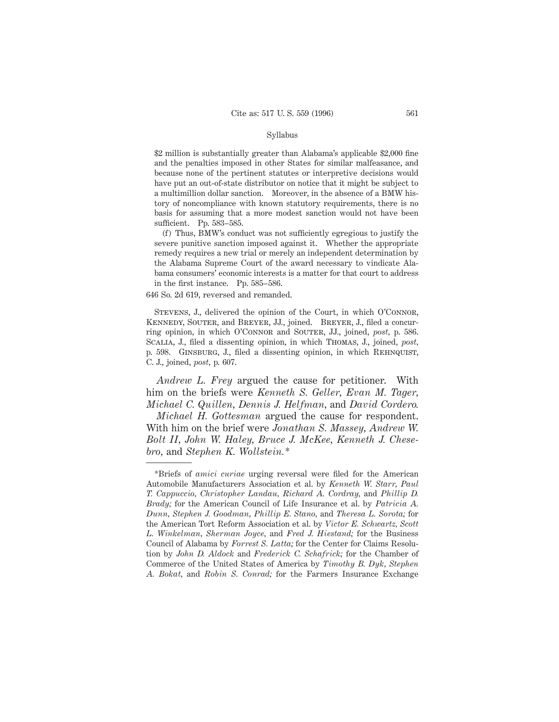\$2 million is substantially greater than Alabama's applicable \$2,000 fine and the penalties imposed in other States for similar malfeasance, and because none of the pertinent statutes or interpretive decisions would have put an out-of-state distributor on notice that it might be subject to a multimillion dollar sanction. Moreover, in the absence of a BMW history of noncompliance with known statutory requirements, there is no basis for assuming that a more modest sanction would not have been sufficient. Pp. 583–585.

(f) Thus, BMW's conduct was not sufficiently egregious to justify the severe punitive sanction imposed against it. Whether the appropriate remedy requires a new trial or merely an independent determination by the Alabama Supreme Court of the award necessary to vindicate Alabama consumers' economic interests is a matter for that court to address in the first instance. Pp. 585–586.

646 So. 2d 619, reversed and remanded.

STEVENS, J., delivered the opinion of the Court, in which O'CONNOR, Kennedy, Souter, and Breyer, JJ., joined. Breyer, J., filed a concurring opinion, in which O'CONNOR and SOUTER, JJ., joined, *post*, p. 586. Scalia, J., filed a dissenting opinion, in which Thomas, J., joined, *post,* p. 598. Ginsburg, J., filed a dissenting opinion, in which Rehnquist, C. J., joined, *post,* p. 607.

*Andrew L. Frey* argued the cause for petitioner. With him on the briefs were *Kenneth S. Geller, Evan M. Tager, Michael C. Quillen, Dennis J. Helfman,* and *David Cordero.*

*Michael H. Gottesman* argued the cause for respondent. With him on the brief were *Jonathan S. Massey, Andrew W. Bolt II, John W. Haley, Bruce J. McKee, Kenneth J. Chesebro,* and *Stephen K. Wollstein.\**

<sup>\*</sup>Briefs of *amici curiae* urging reversal were filed for the American Automobile Manufacturers Association et al. by *Kenneth W. Starr, Paul T. Cappuccio, Christopher Landau, Richard A. Cordray,* and *Phillip D. Brady;* for the American Council of Life Insurance et al. by *Patricia A. Dunn, Stephen J. Goodman, Phillip E. Stano,* and *Theresa L. Sorota;* for the American Tort Reform Association et al. by *Victor E. Schwartz, Scott L. Winkelman, Sherman Joyce,* and *Fred J. Hiestand;* for the Business Council of Alabama by *Forrest S. Latta;* for the Center for Claims Resolution by *John D. Aldock* and *Frederick C. Schafrick;* for the Chamber of Commerce of the United States of America by *Timothy B. Dyk, Stephen A. Bokat,* and *Robin S. Conrad;* for the Farmers Insurance Exchange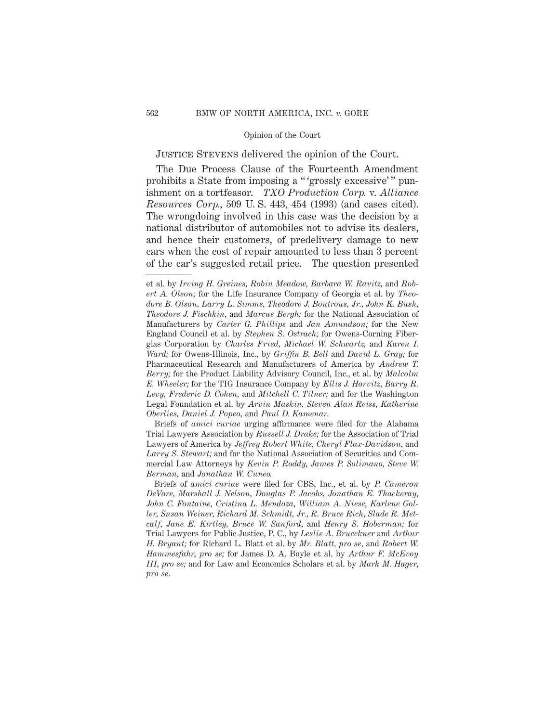Justice Stevens delivered the opinion of the Court.

The Due Process Clause of the Fourteenth Amendment prohibits a State from imposing a " 'grossly excessive' " punishment on a tortfeasor. *TXO Production Corp.* v. *Alliance Resources Corp.,* 509 U. S. 443, 454 (1993) (and cases cited). The wrongdoing involved in this case was the decision by a national distributor of automobiles not to advise its dealers, and hence their customers, of predelivery damage to new cars when the cost of repair amounted to less than 3 percent of the car's suggested retail price. The question presented

Briefs of *amici curiae* urging affirmance were filed for the Alabama Trial Lawyers Association by *Russell J. Drake;* for the Association of Trial Lawyers of America by *Jeffrey Robert White, Cheryl Flax-Davidson,* and *Larry S. Stewart;* and for the National Association of Securities and Commercial Law Attorneys by *Kevin P. Roddy, James P. Solimano, Steve W. Berman,* and *Jonathan W. Cuneo.*

Briefs of *amici curiae* were filed for CBS, Inc., et al. by *P. Cameron DeVore, Marshall J. Nelson, Douglas P. Jacobs, Jonathan E. Thackeray, John C. Fontaine, Cristina L. Mendoza, William A. Niese, Karlene Goller, Susan Weiner, Richard M. Schmidt, Jr., R. Bruce Rich, Slade R. Metcalf, Jane E. Kirtley, Bruce W. Sanford,* and *Henry S. Hoberman;* for Trial Lawyers for Public Justice, P. C., by *Leslie A. Brueckner* and *Arthur H. Bryant;* for Richard L. Blatt et al. by *Mr. Blatt, pro se,* and *Robert W. Hammesfahr, pro se;* for James D. A. Boyle et al. by *Arthur F. McEvoy III, pro se;* and for Law and Economics Scholars et al. by *Mark M. Hager, pro se.*

et al. by *Irving H. Greines, Robin Meadow, Barbara W. Ravitz,* and *Robert A. Olson;* for the Life Insurance Company of Georgia et al. by *Theodore B. Olson, Larry L. Simms, Theodore J. Boutrous, Jr., John K. Bush, Theodore J. Fischkin,* and *Marcus Bergh;* for the National Association of Manufacturers by *Carter G. Phillips* and *Jan Amundson;* for the New England Council et al. by *Stephen S. Ostrach;* for Owens-Corning Fiberglas Corporation by *Charles Fried, Michael W. Schwartz,* and *Karen I. Ward;* for Owens-Illinois, Inc., by *Griffin B. Bell* and *David L. Gray;* for Pharmaceutical Research and Manufacturers of America by *Andrew T. Berry;* for the Product Liability Advisory Council, Inc., et al. by *Malcolm E. Wheeler;* for the TIG Insurance Company by *Ellis J. Horvitz, Barry R. Levy, Frederic D. Cohen,* and *Mitchell C. Tilner;* and for the Washington Legal Foundation et al. by *Arvin Maskin, Steven Alan Reiss, Katherine Oberlies, Daniel J. Popeo,* and *Paul D. Kamenar.*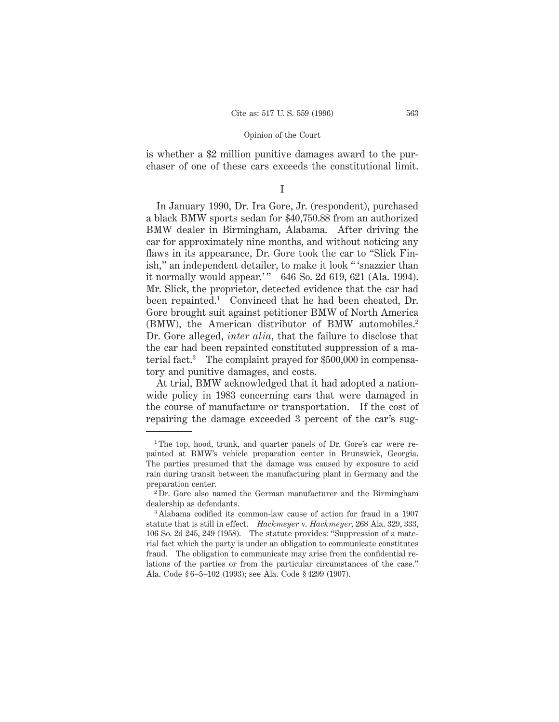is whether a \$2 million punitive damages award to the purchaser of one of these cars exceeds the constitutional limit.

I

In January 1990, Dr. Ira Gore, Jr. (respondent), purchased a black BMW sports sedan for \$40,750.88 from an authorized BMW dealer in Birmingham, Alabama. After driving the car for approximately nine months, and without noticing any flaws in its appearance, Dr. Gore took the car to "Slick Finish," an independent detailer, to make it look " 'snazzier than it normally would appear.'" 646 So. 2d 619, 621 (Ala. 1994). Mr. Slick, the proprietor, detected evidence that the car had been repainted.<sup>1</sup> Convinced that he had been cheated, Dr. Gore brought suit against petitioner BMW of North America (BMW), the American distributor of BMW automobiles.2 Dr. Gore alleged, *inter alia,* that the failure to disclose that the car had been repainted constituted suppression of a material fact.3 The complaint prayed for \$500,000 in compensatory and punitive damages, and costs.

At trial, BMW acknowledged that it had adopted a nationwide policy in 1983 concerning cars that were damaged in the course of manufacture or transportation. If the cost of repairing the damage exceeded 3 percent of the car's sug-

<sup>&</sup>lt;sup>1</sup>The top, hood, trunk, and quarter panels of Dr. Gore's car were repainted at BMW's vehicle preparation center in Brunswick, Georgia. The parties presumed that the damage was caused by exposure to acid rain during transit between the manufacturing plant in Germany and the preparation center.

<sup>2</sup> Dr. Gore also named the German manufacturer and the Birmingham dealership as defendants.

<sup>3</sup> Alabama codified its common-law cause of action for fraud in a 1907 statute that is still in effect. *Hackmeyer* v. *Hackmeyer,* 268 Ala. 329, 333, 106 So. 2d 245, 249 (1958). The statute provides: "Suppression of a material fact which the party is under an obligation to communicate constitutes fraud. The obligation to communicate may arise from the confidential relations of the parties or from the particular circumstances of the case." Ala. Code § 6–5–102 (1993); see Ala. Code § 4299 (1907).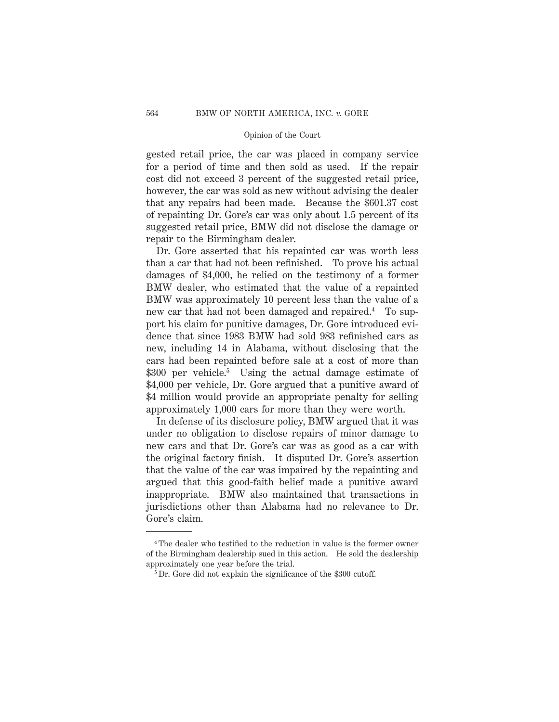gested retail price, the car was placed in company service for a period of time and then sold as used. If the repair cost did not exceed 3 percent of the suggested retail price, however, the car was sold as new without advising the dealer that any repairs had been made. Because the \$601.37 cost of repainting Dr. Gore's car was only about 1.5 percent of its suggested retail price, BMW did not disclose the damage or repair to the Birmingham dealer.

Dr. Gore asserted that his repainted car was worth less than a car that had not been refinished. To prove his actual damages of \$4,000, he relied on the testimony of a former BMW dealer, who estimated that the value of a repainted BMW was approximately 10 percent less than the value of a new car that had not been damaged and repaired.4 To support his claim for punitive damages, Dr. Gore introduced evidence that since 1983 BMW had sold 983 refinished cars as new, including 14 in Alabama, without disclosing that the cars had been repainted before sale at a cost of more than \$300 per vehicle.<sup>5</sup> Using the actual damage estimate of \$4,000 per vehicle, Dr. Gore argued that a punitive award of \$4 million would provide an appropriate penalty for selling approximately 1,000 cars for more than they were worth.

In defense of its disclosure policy, BMW argued that it was under no obligation to disclose repairs of minor damage to new cars and that Dr. Gore's car was as good as a car with the original factory finish. It disputed Dr. Gore's assertion that the value of the car was impaired by the repainting and argued that this good-faith belief made a punitive award inappropriate. BMW also maintained that transactions in jurisdictions other than Alabama had no relevance to Dr. Gore's claim.

<sup>4</sup> The dealer who testified to the reduction in value is the former owner of the Birmingham dealership sued in this action. He sold the dealership approximately one year before the trial.

<sup>&</sup>lt;sup>5</sup> Dr. Gore did not explain the significance of the \$300 cutoff.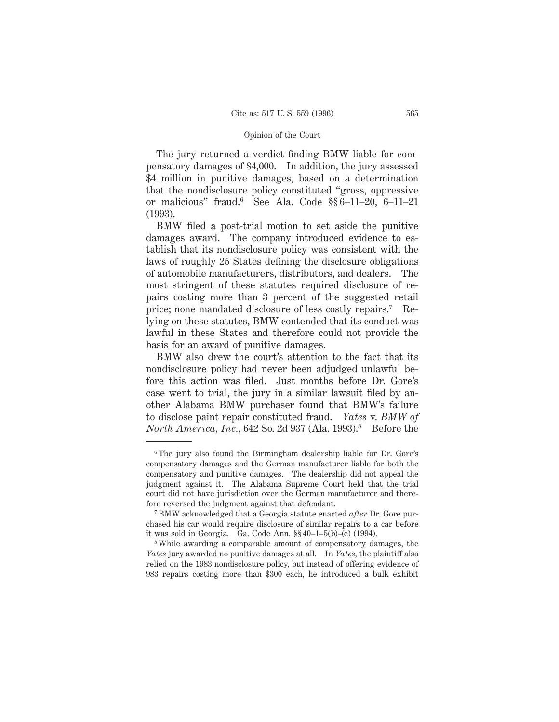The jury returned a verdict finding BMW liable for compensatory damages of \$4,000. In addition, the jury assessed \$4 million in punitive damages, based on a determination that the nondisclosure policy constituted "gross, oppressive or malicious" fraud.6 See Ala. Code §§ 6–11–20, 6–11–21 (1993).

BMW filed a post-trial motion to set aside the punitive damages award. The company introduced evidence to establish that its nondisclosure policy was consistent with the laws of roughly 25 States defining the disclosure obligations of automobile manufacturers, distributors, and dealers. The most stringent of these statutes required disclosure of repairs costing more than 3 percent of the suggested retail price; none mandated disclosure of less costly repairs.7 Relying on these statutes, BMW contended that its conduct was lawful in these States and therefore could not provide the basis for an award of punitive damages.

BMW also drew the court's attention to the fact that its nondisclosure policy had never been adjudged unlawful before this action was filed. Just months before Dr. Gore's case went to trial, the jury in a similar lawsuit filed by another Alabama BMW purchaser found that BMW's failure to disclose paint repair constituted fraud. *Yates* v. *BMW of North America, Inc.,* 642 So. 2d 937 (Ala. 1993).<sup>8</sup> Before the

<sup>&</sup>lt;sup>6</sup> The jury also found the Birmingham dealership liable for Dr. Gore's compensatory damages and the German manufacturer liable for both the compensatory and punitive damages. The dealership did not appeal the judgment against it. The Alabama Supreme Court held that the trial court did not have jurisdiction over the German manufacturer and therefore reversed the judgment against that defendant.

<sup>7</sup> BMW acknowledged that a Georgia statute enacted *after* Dr. Gore purchased his car would require disclosure of similar repairs to a car before it was sold in Georgia. Ga. Code Ann. §§ 40–1–5(b)–(e) (1994).

<sup>8</sup> While awarding a comparable amount of compensatory damages, the *Yates* jury awarded no punitive damages at all. In *Yates,* the plaintiff also relied on the 1983 nondisclosure policy, but instead of offering evidence of 983 repairs costing more than \$300 each, he introduced a bulk exhibit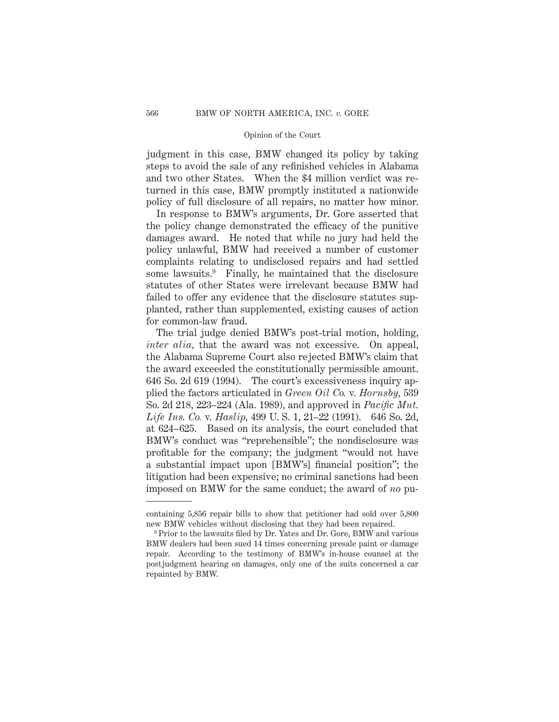judgment in this case, BMW changed its policy by taking steps to avoid the sale of any refinished vehicles in Alabama and two other States. When the \$4 million verdict was returned in this case, BMW promptly instituted a nationwide policy of full disclosure of all repairs, no matter how minor.

In response to BMW's arguments, Dr. Gore asserted that the policy change demonstrated the efficacy of the punitive damages award. He noted that while no jury had held the policy unlawful, BMW had received a number of customer complaints relating to undisclosed repairs and had settled some lawsuits.<sup>9</sup> Finally, he maintained that the disclosure statutes of other States were irrelevant because BMW had failed to offer any evidence that the disclosure statutes supplanted, rather than supplemented, existing causes of action for common-law fraud.

The trial judge denied BMW's post-trial motion, holding, *inter alia*, that the award was not excessive. On appeal, the Alabama Supreme Court also rejected BMW's claim that the award exceeded the constitutionally permissible amount. 646 So. 2d 619 (1994). The court's excessiveness inquiry applied the factors articulated in *Green Oil Co.* v. *Hornsby,* 539 So. 2d 218, 223–224 (Ala. 1989), and approved in *Pacific Mut. Life Ins. Co.* v. *Haslip,* 499 U. S. 1, 21–22 (1991). 646 So. 2d, at 624–625. Based on its analysis, the court concluded that BMW's conduct was "reprehensible"; the nondisclosure was profitable for the company; the judgment "would not have a substantial impact upon [BMW's] financial position"; the litigation had been expensive; no criminal sanctions had been imposed on BMW for the same conduct; the award of *no* pu-

containing 5,856 repair bills to show that petitioner had sold over 5,800 new BMW vehicles without disclosing that they had been repaired.

<sup>9</sup> Prior to the lawsuits filed by Dr. Yates and Dr. Gore, BMW and various BMW dealers had been sued 14 times concerning presale paint or damage repair. According to the testimony of BMW's in-house counsel at the postjudgment hearing on damages, only one of the suits concerned a car repainted by BMW.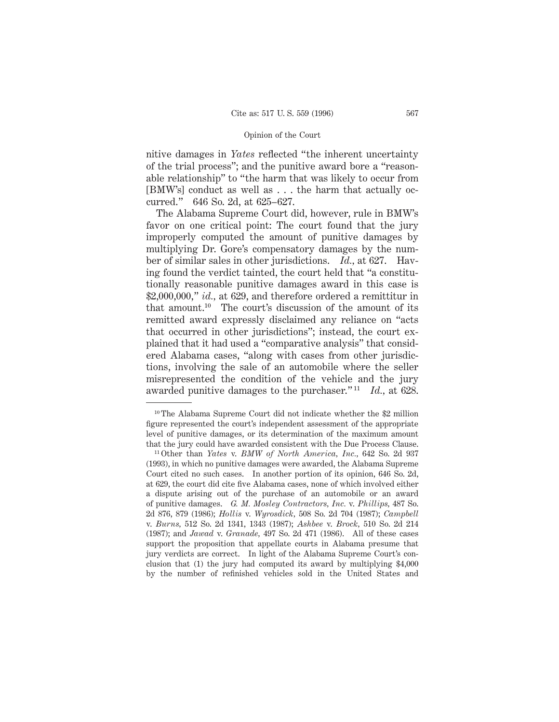nitive damages in *Yates* reflected "the inherent uncertainty of the trial process"; and the punitive award bore a "reasonable relationship" to "the harm that was likely to occur from [BMW's] conduct as well as . . . the harm that actually occurred." 646 So. 2d, at 625–627.

The Alabama Supreme Court did, however, rule in BMW's favor on one critical point: The court found that the jury improperly computed the amount of punitive damages by multiplying Dr. Gore's compensatory damages by the number of similar sales in other jurisdictions. *Id.,* at 627. Having found the verdict tainted, the court held that "a constitutionally reasonable punitive damages award in this case is \$2,000,000," *id.,* at 629, and therefore ordered a remittitur in that amount.10 The court's discussion of the amount of its remitted award expressly disclaimed any reliance on "acts that occurred in other jurisdictions"; instead, the court explained that it had used a "comparative analysis" that considered Alabama cases, "along with cases from other jurisdictions, involving the sale of an automobile where the seller misrepresented the condition of the vehicle and the jury awarded punitive damages to the purchaser." <sup>11</sup> *Id.,* at 628.

<sup>10</sup> The Alabama Supreme Court did not indicate whether the \$2 million figure represented the court's independent assessment of the appropriate level of punitive damages, or its determination of the maximum amount that the jury could have awarded consistent with the Due Process Clause.

<sup>11</sup> Other than *Yates* v. *BMW of North America, Inc.,* 642 So. 2d 937 (1993), in which no punitive damages were awarded, the Alabama Supreme Court cited no such cases. In another portion of its opinion, 646 So. 2d, at 629, the court did cite five Alabama cases, none of which involved either a dispute arising out of the purchase of an automobile or an award of punitive damages. *G. M. Mosley Contractors, Inc.* v. *Phillips,* 487 So. 2d 876, 879 (1986); *Hollis* v. *Wyrosdick,* 508 So. 2d 704 (1987); *Campbell* v. *Burns,* 512 So. 2d 1341, 1343 (1987); *Ashbee* v. *Brock,* 510 So. 2d 214 (1987); and *Jawad* v. *Granade,* 497 So. 2d 471 (1986). All of these cases support the proposition that appellate courts in Alabama presume that jury verdicts are correct. In light of the Alabama Supreme Court's conclusion that (1) the jury had computed its award by multiplying \$4,000 by the number of refinished vehicles sold in the United States and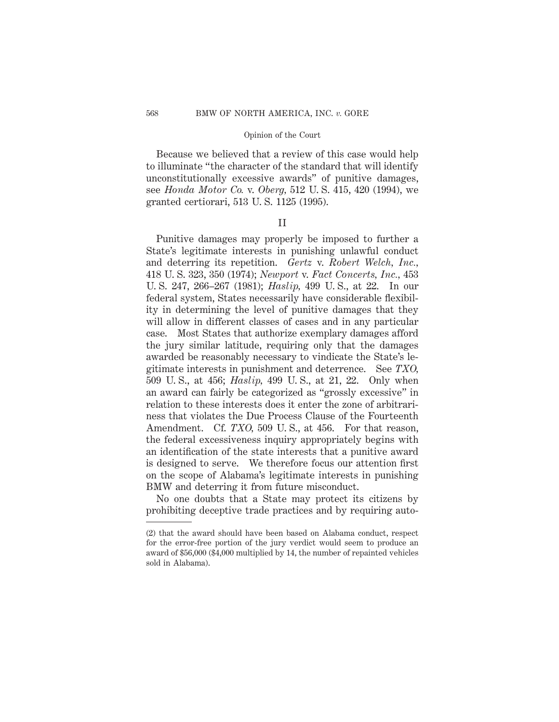Because we believed that a review of this case would help to illuminate "the character of the standard that will identify unconstitutionally excessive awards" of punitive damages, see *Honda Motor Co.* v. *Oberg,* 512 U. S. 415, 420 (1994), we granted certiorari, 513 U. S. 1125 (1995).

#### II

Punitive damages may properly be imposed to further a State's legitimate interests in punishing unlawful conduct and deterring its repetition. *Gertz* v. *Robert Welch, Inc.,* 418 U. S. 323, 350 (1974); *Newport* v. *Fact Concerts, Inc.,* 453 U. S. 247, 266–267 (1981); *Haslip,* 499 U. S., at 22. In our federal system, States necessarily have considerable flexibility in determining the level of punitive damages that they will allow in different classes of cases and in any particular case. Most States that authorize exemplary damages afford the jury similar latitude, requiring only that the damages awarded be reasonably necessary to vindicate the State's legitimate interests in punishment and deterrence. See *TXO,* 509 U. S., at 456; *Haslip,* 499 U. S., at 21, 22. Only when an award can fairly be categorized as "grossly excessive" in relation to these interests does it enter the zone of arbitrariness that violates the Due Process Clause of the Fourteenth Amendment. Cf. *TXO,* 509 U. S., at 456. For that reason, the federal excessiveness inquiry appropriately begins with an identification of the state interests that a punitive award is designed to serve. We therefore focus our attention first on the scope of Alabama's legitimate interests in punishing BMW and deterring it from future misconduct.

No one doubts that a State may protect its citizens by prohibiting deceptive trade practices and by requiring auto-

<sup>(2)</sup> that the award should have been based on Alabama conduct, respect for the error-free portion of the jury verdict would seem to produce an award of \$56,000 (\$4,000 multiplied by 14, the number of repainted vehicles sold in Alabama).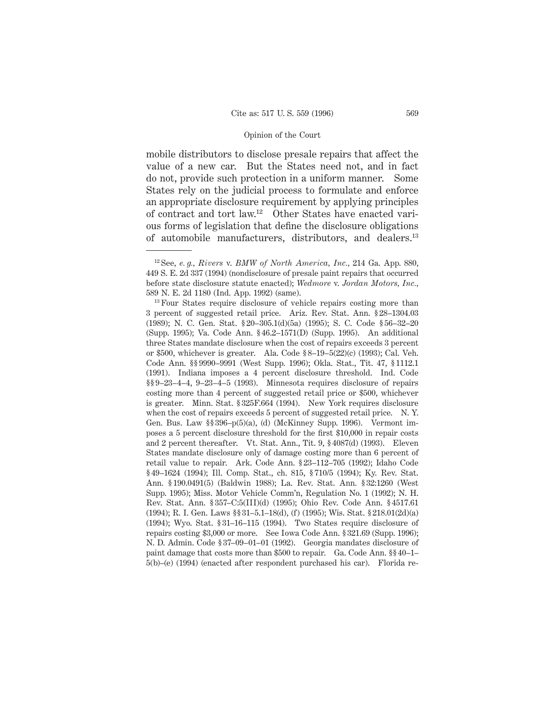mobile distributors to disclose presale repairs that affect the value of a new car. But the States need not, and in fact do not, provide such protection in a uniform manner. Some States rely on the judicial process to formulate and enforce an appropriate disclosure requirement by applying principles of contract and tort law.12 Other States have enacted various forms of legislation that define the disclosure obligations of automobile manufacturers, distributors, and dealers.13

<sup>12</sup> See, *e. g., Rivers* v. *BMW of North America, Inc.,* 214 Ga. App. 880, 449 S. E. 2d 337 (1994) (nondisclosure of presale paint repairs that occurred before state disclosure statute enacted); *Wedmore* v. *Jordan Motors, Inc.,* 589 N. E. 2d 1180 (Ind. App. 1992) (same).

<sup>&</sup>lt;sup>13</sup> Four States require disclosure of vehicle repairs costing more than 3 percent of suggested retail price. Ariz. Rev. Stat. Ann. § 28–1304.03 (1989); N. C. Gen. Stat. § 20–305.1(d)(5a) (1995); S. C. Code § 56–32–20 (Supp. 1995); Va. Code Ann. § 46.2–1571(D) (Supp. 1995). An additional three States mandate disclosure when the cost of repairs exceeds 3 percent or \$500, whichever is greater. Ala. Code  $\S 8-19-5(22)(c)$  (1993); Cal. Veh. Code Ann. §§ 9990–9991 (West Supp. 1996); Okla. Stat., Tit. 47, § 1112.1 (1991). Indiana imposes a 4 percent disclosure threshold. Ind. Code §§ 9–23–4–4, 9–23–4–5 (1993). Minnesota requires disclosure of repairs costing more than 4 percent of suggested retail price or \$500, whichever is greater. Minn. Stat. § 325F.664 (1994). New York requires disclosure when the cost of repairs exceeds 5 percent of suggested retail price. N.Y. Gen. Bus. Law §§ 396–p(5)(a), (d) (McKinney Supp. 1996). Vermont imposes a 5 percent disclosure threshold for the first \$10,000 in repair costs and 2 percent thereafter. Vt. Stat. Ann., Tit. 9, § 4087(d) (1993). Eleven States mandate disclosure only of damage costing more than 6 percent of retail value to repair. Ark. Code Ann. § 23–112–705 (1992); Idaho Code § 49–1624 (1994); Ill. Comp. Stat., ch. 815, § 710/5 (1994); Ky. Rev. Stat. Ann. § 190.0491(5) (Baldwin 1988); La. Rev. Stat. Ann. § 32:1260 (West Supp. 1995); Miss. Motor Vehicle Comm'n, Regulation No. 1 (1992); N. H. Rev. Stat. Ann. § 357–C:5(III)(d) (1995); Ohio Rev. Code Ann. § 4517.61 (1994); R. I. Gen. Laws §§ 31–5.1–18(d), (f) (1995); Wis. Stat. § 218.01(2d)(a) (1994); Wyo. Stat. § 31–16–115 (1994). Two States require disclosure of repairs costing \$3,000 or more. See Iowa Code Ann. § 321.69 (Supp. 1996); N. D. Admin. Code § 37–09–01–01 (1992). Georgia mandates disclosure of paint damage that costs more than \$500 to repair. Ga. Code Ann. §§ 40–1– 5(b)–(e) (1994) (enacted after respondent purchased his car). Florida re-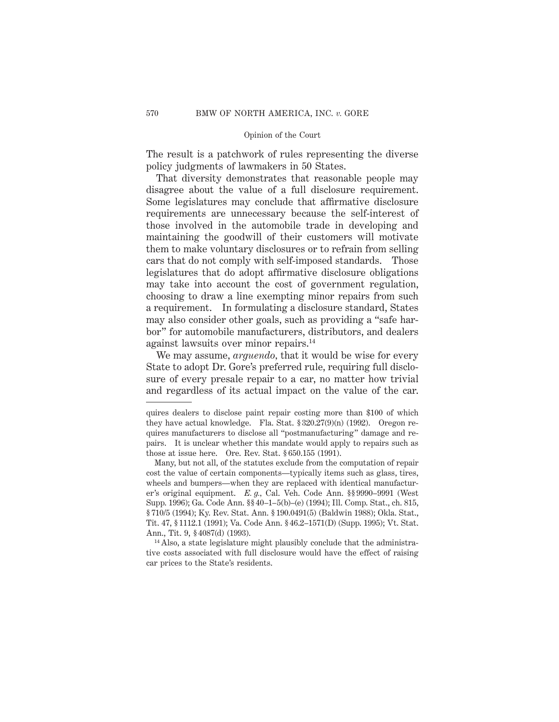The result is a patchwork of rules representing the diverse policy judgments of lawmakers in 50 States.

That diversity demonstrates that reasonable people may disagree about the value of a full disclosure requirement. Some legislatures may conclude that affirmative disclosure requirements are unnecessary because the self-interest of those involved in the automobile trade in developing and maintaining the goodwill of their customers will motivate them to make voluntary disclosures or to refrain from selling cars that do not comply with self-imposed standards. Those legislatures that do adopt affirmative disclosure obligations may take into account the cost of government regulation, choosing to draw a line exempting minor repairs from such a requirement. In formulating a disclosure standard, States may also consider other goals, such as providing a "safe harbor" for automobile manufacturers, distributors, and dealers against lawsuits over minor repairs.14

We may assume, *arguendo,* that it would be wise for every State to adopt Dr. Gore's preferred rule, requiring full disclosure of every presale repair to a car, no matter how trivial and regardless of its actual impact on the value of the car.

<sup>14</sup> Also, a state legislature might plausibly conclude that the administrative costs associated with full disclosure would have the effect of raising car prices to the State's residents.

quires dealers to disclose paint repair costing more than \$100 of which they have actual knowledge. Fla. Stat. § 320.27(9)(n) (1992). Oregon requires manufacturers to disclose all "postmanufacturing" damage and repairs. It is unclear whether this mandate would apply to repairs such as those at issue here. Ore. Rev. Stat. § 650.155 (1991).

Many, but not all, of the statutes exclude from the computation of repair cost the value of certain components—typically items such as glass, tires, wheels and bumpers—when they are replaced with identical manufacturer's original equipment. *E. g.,* Cal. Veh. Code Ann. §§ 9990–9991 (West Supp. 1996); Ga. Code Ann. §§ 40–1–5(b)–(e) (1994); Ill. Comp. Stat., ch. 815, § 710/5 (1994); Ky. Rev. Stat. Ann. § 190.0491(5) (Baldwin 1988); Okla. Stat., Tit. 47, § 1112.1 (1991); Va. Code Ann. § 46.2–1571(D) (Supp. 1995); Vt. Stat. Ann., Tit. 9, § 4087(d) (1993).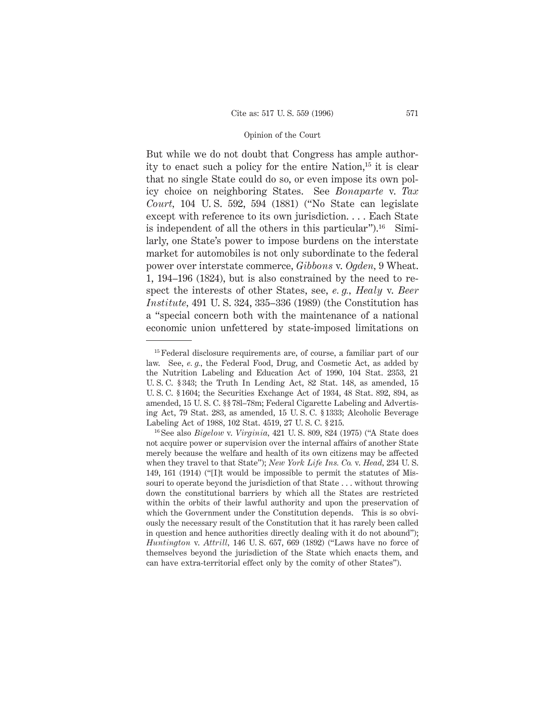But while we do not doubt that Congress has ample authority to enact such a policy for the entire Nation,15 it is clear that no single State could do so, or even impose its own policy choice on neighboring States. See *Bonaparte* v. *Tax Court,* 104 U. S. 592, 594 (1881) ("No State can legislate except with reference to its own jurisdiction. . . . Each State is independent of all the others in this particular").<sup>16</sup> Similarly, one State's power to impose burdens on the interstate market for automobiles is not only subordinate to the federal power over interstate commerce, *Gibbons* v. *Ogden,* 9 Wheat. 1, 194–196 (1824), but is also constrained by the need to respect the interests of other States, see, *e. g., Healy* v. *Beer Institute,* 491 U. S. 324, 335–336 (1989) (the Constitution has a "special concern both with the maintenance of a national economic union unfettered by state-imposed limitations on

<sup>&</sup>lt;sup>15</sup> Federal disclosure requirements are, of course, a familiar part of our law. See, *e. g.,* the Federal Food, Drug, and Cosmetic Act, as added by the Nutrition Labeling and Education Act of 1990, 104 Stat. 2353, 21 U. S. C. § 343; the Truth In Lending Act, 82 Stat. 148, as amended, 15 U. S. C. § 1604; the Securities Exchange Act of 1934, 48 Stat. 892, 894, as amended, 15 U. S. C. §§ 78l–78m; Federal Cigarette Labeling and Advertising Act, 79 Stat. 283, as amended, 15 U. S. C. § 1333; Alcoholic Beverage Labeling Act of 1988, 102 Stat. 4519, 27 U. S. C. § 215.

<sup>16</sup> See also *Bigelow* v. *Virginia,* 421 U. S. 809, 824 (1975) ("A State does not acquire power or supervision over the internal affairs of another State merely because the welfare and health of its own citizens may be affected when they travel to that State"); *New York Life Ins. Co.* v. *Head,* 234 U. S. 149, 161 (1914) ("[I]t would be impossible to permit the statutes of Missouri to operate beyond the jurisdiction of that State...without throwing down the constitutional barriers by which all the States are restricted within the orbits of their lawful authority and upon the preservation of which the Government under the Constitution depends. This is so obviously the necessary result of the Constitution that it has rarely been called in question and hence authorities directly dealing with it do not abound"); *Huntington* v. *Attrill,* 146 U. S. 657, 669 (1892) ("Laws have no force of themselves beyond the jurisdiction of the State which enacts them, and can have extra-territorial effect only by the comity of other States").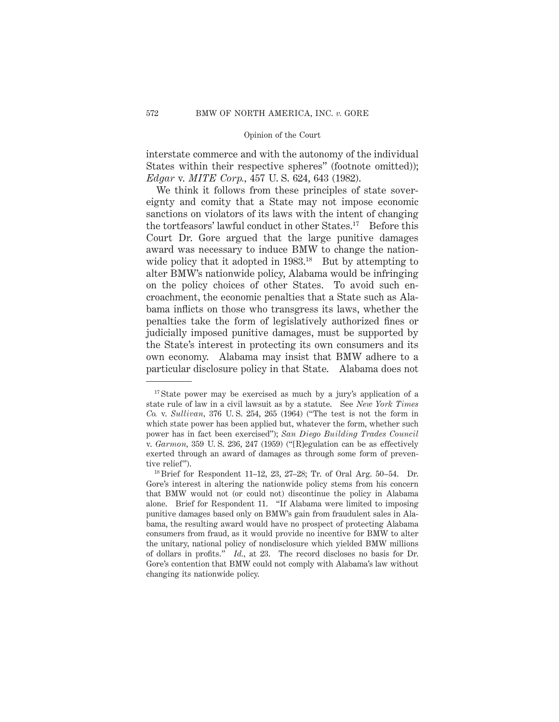interstate commerce and with the autonomy of the individual States within their respective spheres" (footnote omitted)); *Edgar* v. *MITE Corp.,* 457 U. S. 624, 643 (1982).

We think it follows from these principles of state sovereignty and comity that a State may not impose economic sanctions on violators of its laws with the intent of changing the tortfeasors' lawful conduct in other States.<sup>17</sup> Before this Court Dr. Gore argued that the large punitive damages award was necessary to induce BMW to change the nationwide policy that it adopted in 1983.<sup>18</sup> But by attempting to alter BMW's nationwide policy, Alabama would be infringing on the policy choices of other States. To avoid such encroachment, the economic penalties that a State such as Alabama inflicts on those who transgress its laws, whether the penalties take the form of legislatively authorized fines or judicially imposed punitive damages, must be supported by the State's interest in protecting its own consumers and its own economy. Alabama may insist that BMW adhere to a particular disclosure policy in that State. Alabama does not

<sup>&</sup>lt;sup>17</sup> State power may be exercised as much by a jury's application of a state rule of law in a civil lawsuit as by a statute. See *New York Times Co.* v. *Sullivan,* 376 U. S. 254, 265 (1964) ("The test is not the form in which state power has been applied but, whatever the form, whether such power has in fact been exercised"); *San Diego Building Trades Council* v. *Garmon,* 359 U. S. 236, 247 (1959) ("[R]egulation can be as effectively exerted through an award of damages as through some form of preventive relief").

 $^{18}$  Brief for Respondent 11–12, 23, 27–28; Tr. of Oral Arg. 50–54. Dr. Gore's interest in altering the nationwide policy stems from his concern that BMW would not (or could not) discontinue the policy in Alabama alone. Brief for Respondent 11. "If Alabama were limited to imposing punitive damages based only on BMW's gain from fraudulent sales in Alabama, the resulting award would have no prospect of protecting Alabama consumers from fraud, as it would provide no incentive for BMW to alter the unitary, national policy of nondisclosure which yielded BMW millions of dollars in profits." *Id.,* at 23. The record discloses no basis for Dr. Gore's contention that BMW could not comply with Alabama's law without changing its nationwide policy.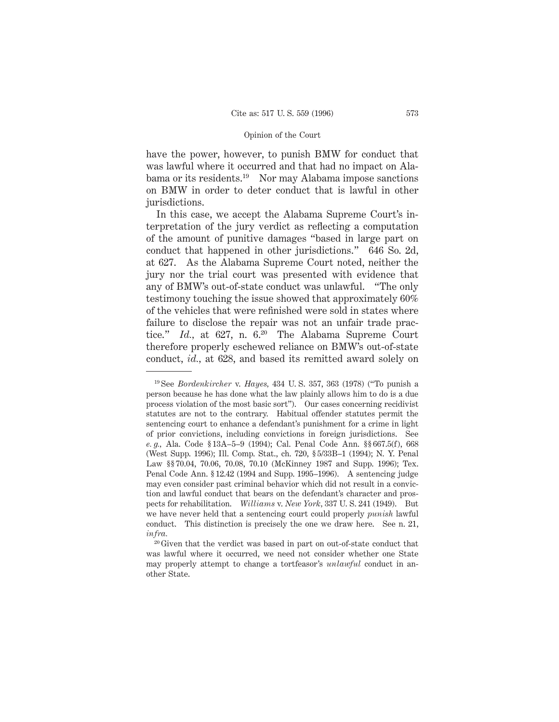have the power, however, to punish BMW for conduct that was lawful where it occurred and that had no impact on Alabama or its residents.19 Nor may Alabama impose sanctions on BMW in order to deter conduct that is lawful in other jurisdictions.

In this case, we accept the Alabama Supreme Court's interpretation of the jury verdict as reflecting a computation of the amount of punitive damages "based in large part on conduct that happened in other jurisdictions." 646 So. 2d, at 627. As the Alabama Supreme Court noted, neither the jury nor the trial court was presented with evidence that any of BMW's out-of-state conduct was unlawful. "The only testimony touching the issue showed that approximately 60% of the vehicles that were refinished were sold in states where failure to disclose the repair was not an unfair trade practice." *Id.*, at 627, n. 6.<sup>20</sup> The Alabama Supreme Court therefore properly eschewed reliance on BMW's out-of-state conduct, *id.,* at 628, and based its remitted award solely on

<sup>19</sup> See *Bordenkircher* v. *Hayes,* 434 U. S. 357, 363 (1978) ("To punish a person because he has done what the law plainly allows him to do is a due process violation of the most basic sort"). Our cases concerning recidivist statutes are not to the contrary. Habitual offender statutes permit the sentencing court to enhance a defendant's punishment for a crime in light of prior convictions, including convictions in foreign jurisdictions. See *e. g.,* Ala. Code § 13A–5–9 (1994); Cal. Penal Code Ann. §§ 667.5(f), 668 (West Supp. 1996); Ill. Comp. Stat., ch. 720, § 5/33B–1 (1994); N. Y. Penal Law §§ 70.04, 70.06, 70.08, 70.10 (McKinney 1987 and Supp. 1996); Tex. Penal Code Ann. § 12.42 (1994 and Supp. 1995–1996). A sentencing judge may even consider past criminal behavior which did not result in a conviction and lawful conduct that bears on the defendant's character and prospects for rehabilitation. *Williams* v. *New York,* 337 U. S. 241 (1949). But we have never held that a sentencing court could properly *punish* lawful conduct. This distinction is precisely the one we draw here. See n. 21, *infra.*

<sup>20</sup> Given that the verdict was based in part on out-of-state conduct that was lawful where it occurred, we need not consider whether one State may properly attempt to change a tortfeasor's *unlawful* conduct in another State.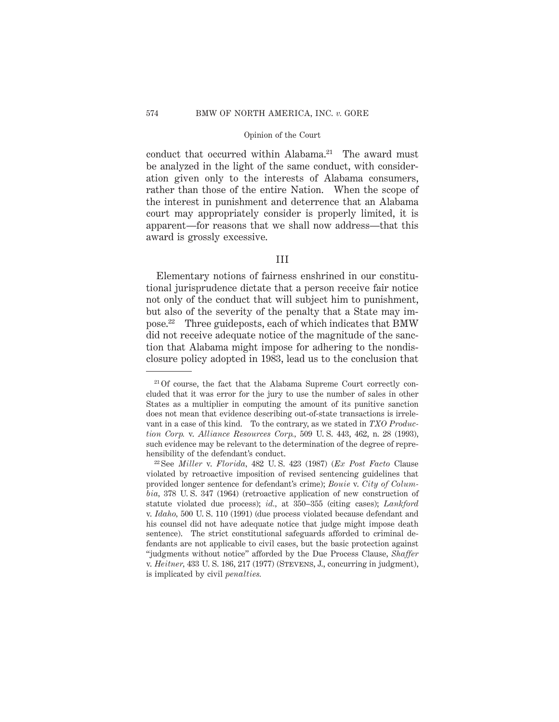conduct that occurred within Alabama.<sup>21</sup> The award must be analyzed in the light of the same conduct, with consideration given only to the interests of Alabama consumers, rather than those of the entire Nation. When the scope of the interest in punishment and deterrence that an Alabama court may appropriately consider is properly limited, it is apparent—for reasons that we shall now address—that this award is grossly excessive.

#### III

Elementary notions of fairness enshrined in our constitutional jurisprudence dictate that a person receive fair notice not only of the conduct that will subject him to punishment, but also of the severity of the penalty that a State may impose.22 Three guideposts, each of which indicates that BMW did not receive adequate notice of the magnitude of the sanction that Alabama might impose for adhering to the nondisclosure policy adopted in 1983, lead us to the conclusion that

<sup>21</sup> Of course, the fact that the Alabama Supreme Court correctly concluded that it was error for the jury to use the number of sales in other States as a multiplier in computing the amount of its punitive sanction does not mean that evidence describing out-of-state transactions is irrelevant in a case of this kind. To the contrary, as we stated in *TXO Production Corp.* v. *Alliance Resources Corp.,* 509 U. S. 443, 462, n. 28 (1993), such evidence may be relevant to the determination of the degree of reprehensibility of the defendant's conduct.

<sup>22</sup> See *Miller* v. *Florida,* 482 U. S. 423 (1987) (*Ex Post Facto* Clause violated by retroactive imposition of revised sentencing guidelines that provided longer sentence for defendant's crime); *Bouie* v. *City of Columbia,* 378 U. S. 347 (1964) (retroactive application of new construction of statute violated due process); *id.,* at 350–355 (citing cases); *Lankford* v. *Idaho,* 500 U. S. 110 (1991) (due process violated because defendant and his counsel did not have adequate notice that judge might impose death sentence). The strict constitutional safeguards afforded to criminal defendants are not applicable to civil cases, but the basic protection against "judgments without notice" afforded by the Due Process Clause, *Shaffer* v. *Heitner,* 433 U. S. 186, 217 (1977) (Stevens, J., concurring in judgment), is implicated by civil *penalties.*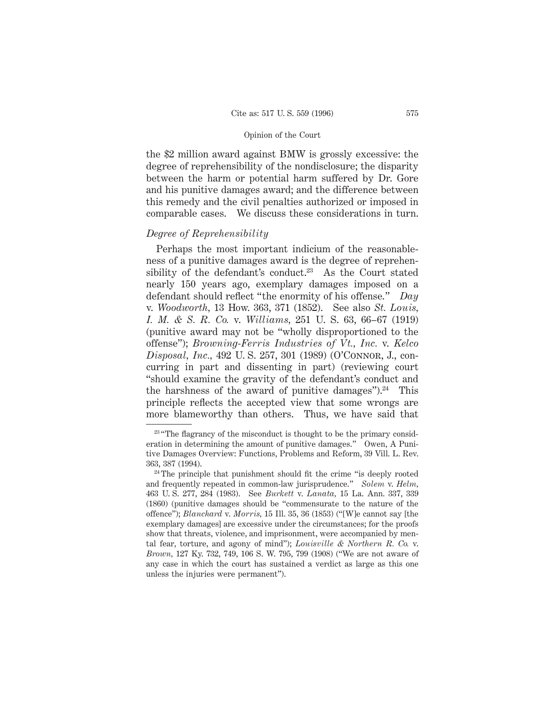the \$2 million award against BMW is grossly excessive: the degree of reprehensibility of the nondisclosure; the disparity between the harm or potential harm suffered by Dr. Gore and his punitive damages award; and the difference between this remedy and the civil penalties authorized or imposed in comparable cases. We discuss these considerations in turn.

#### *Degree of Reprehensibility*

Perhaps the most important indicium of the reasonableness of a punitive damages award is the degree of reprehensibility of the defendant's conduct.<sup>23</sup> As the Court stated nearly 150 years ago, exemplary damages imposed on a defendant should reflect "the enormity of his offense." *Day* v. *Woodworth,* 13 How. 363, 371 (1852). See also *St. Louis, I. M. & S. R. Co.* v. *Williams,* 251 U. S. 63, 66–67 (1919) (punitive award may not be "wholly disproportioned to the offense"); *Browning-Ferris Industries of Vt., Inc.* v. *Kelco Disposal, Inc.,* 492 U. S. 257, 301 (1989) (O'Connor, J., concurring in part and dissenting in part) (reviewing court "should examine the gravity of the defendant's conduct and the harshness of the award of punitive damages").<sup>24</sup> This principle reflects the accepted view that some wrongs are more blameworthy than others. Thus, we have said that

<sup>&</sup>lt;sup>23</sup> "The flagrancy of the misconduct is thought to be the primary consideration in determining the amount of punitive damages." Owen, A Punitive Damages Overview: Functions, Problems and Reform, 39 Vill. L. Rev. 363, 387 (1994).

 $24$  The principle that punishment should fit the crime "is deeply rooted and frequently repeated in common-law jurisprudence." *Solem* v. *Helm,* 463 U. S. 277, 284 (1983). See *Burkett* v. *Lanata,* 15 La. Ann. 337, 339 (1860) (punitive damages should be "commensurate to the nature of the offence"); *Blanchard* v. *Morris,* 15 Ill. 35, 36 (1853) ("[W]e cannot say [the exemplary damages] are excessive under the circumstances; for the proofs show that threats, violence, and imprisonment, were accompanied by mental fear, torture, and agony of mind"); *Louisville & Northern R. Co.* v. *Brown,* 127 Ky. 732, 749, 106 S. W. 795, 799 (1908) ("We are not aware of any case in which the court has sustained a verdict as large as this one unless the injuries were permanent").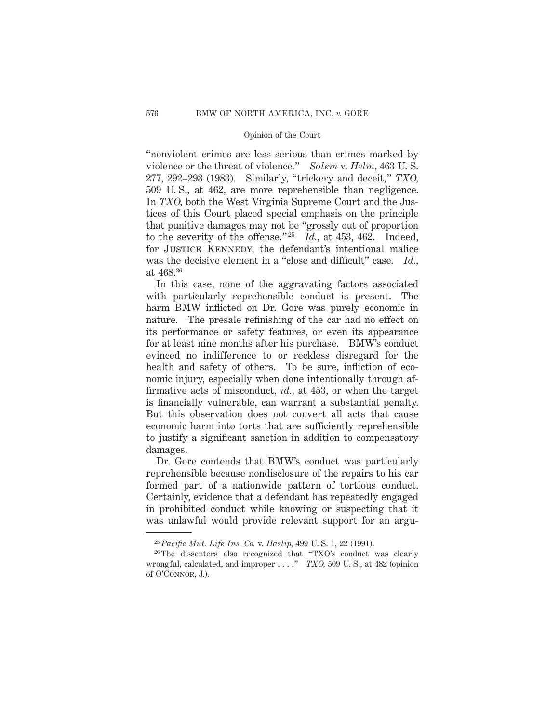"nonviolent crimes are less serious than crimes marked by violence or the threat of violence." *Solem* v. *Helm,* 463 U. S. 277, 292–293 (1983). Similarly, "trickery and deceit," *TXO,* 509 U. S., at 462, are more reprehensible than negligence. In *TXO,* both the West Virginia Supreme Court and the Justices of this Court placed special emphasis on the principle that punitive damages may not be "grossly out of proportion to the severity of the offense." <sup>25</sup> *Id.,* at 453, 462. Indeed, for JUSTICE KENNEDY, the defendant's intentional malice was the decisive element in a "close and difficult" case. *Id.,* at 468.26

In this case, none of the aggravating factors associated with particularly reprehensible conduct is present. The harm BMW inflicted on Dr. Gore was purely economic in nature. The presale refinishing of the car had no effect on its performance or safety features, or even its appearance for at least nine months after his purchase. BMW's conduct evinced no indifference to or reckless disregard for the health and safety of others. To be sure, infliction of economic injury, especially when done intentionally through affirmative acts of misconduct, *id.,* at 453, or when the target is financially vulnerable, can warrant a substantial penalty. But this observation does not convert all acts that cause economic harm into torts that are sufficiently reprehensible to justify a significant sanction in addition to compensatory damages.

Dr. Gore contends that BMW's conduct was particularly reprehensible because nondisclosure of the repairs to his car formed part of a nationwide pattern of tortious conduct. Certainly, evidence that a defendant has repeatedly engaged in prohibited conduct while knowing or suspecting that it was unlawful would provide relevant support for an argu-

<sup>25</sup> *Pacific Mut. Life Ins. Co.* v. *Haslip,* 499 U. S. 1, 22 (1991).

<sup>26</sup> The dissenters also recognized that "TXO's conduct was clearly wrongful, calculated, and improper . . . ." *TXO,* 509 U. S., at 482 (opinion of O'Connor, J.).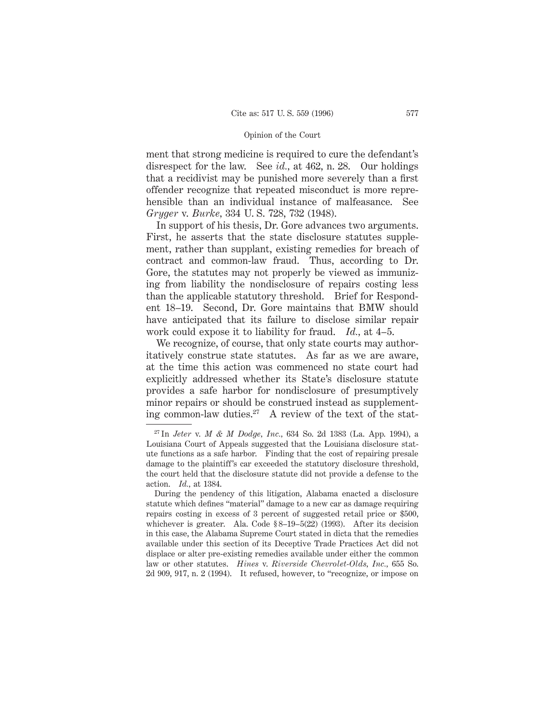ment that strong medicine is required to cure the defendant's disrespect for the law. See *id.,* at 462, n. 28. Our holdings that a recidivist may be punished more severely than a first offender recognize that repeated misconduct is more reprehensible than an individual instance of malfeasance. See *Gryger* v. *Burke,* 334 U. S. 728, 732 (1948).

In support of his thesis, Dr. Gore advances two arguments. First, he asserts that the state disclosure statutes supplement, rather than supplant, existing remedies for breach of contract and common-law fraud. Thus, according to Dr. Gore, the statutes may not properly be viewed as immunizing from liability the nondisclosure of repairs costing less than the applicable statutory threshold. Brief for Respondent 18–19. Second, Dr. Gore maintains that BMW should have anticipated that its failure to disclose similar repair work could expose it to liability for fraud. *Id.,* at 4–5.

We recognize, of course, that only state courts may authoritatively construe state statutes. As far as we are aware, at the time this action was commenced no state court had explicitly addressed whether its State's disclosure statute provides a safe harbor for nondisclosure of presumptively minor repairs or should be construed instead as supplementing common-law duties.<sup>27</sup> A review of the text of the stat-

<sup>27</sup> In *Jeter* v. *M & M Dodge, Inc.,* 634 So. 2d 1383 (La. App. 1994), a Louisiana Court of Appeals suggested that the Louisiana disclosure statute functions as a safe harbor. Finding that the cost of repairing presale damage to the plaintiff's car exceeded the statutory disclosure threshold, the court held that the disclosure statute did not provide a defense to the action. *Id.,* at 1384.

During the pendency of this litigation, Alabama enacted a disclosure statute which defines "material" damage to a new car as damage requiring repairs costing in excess of 3 percent of suggested retail price or \$500, whichever is greater. Ala. Code § 8–19–5(22) (1993). After its decision in this case, the Alabama Supreme Court stated in dicta that the remedies available under this section of its Deceptive Trade Practices Act did not displace or alter pre-existing remedies available under either the common law or other statutes. *Hines* v. *Riverside Chevrolet-Olds, Inc.,* 655 So. 2d 909, 917, n. 2 (1994). It refused, however, to "recognize, or impose on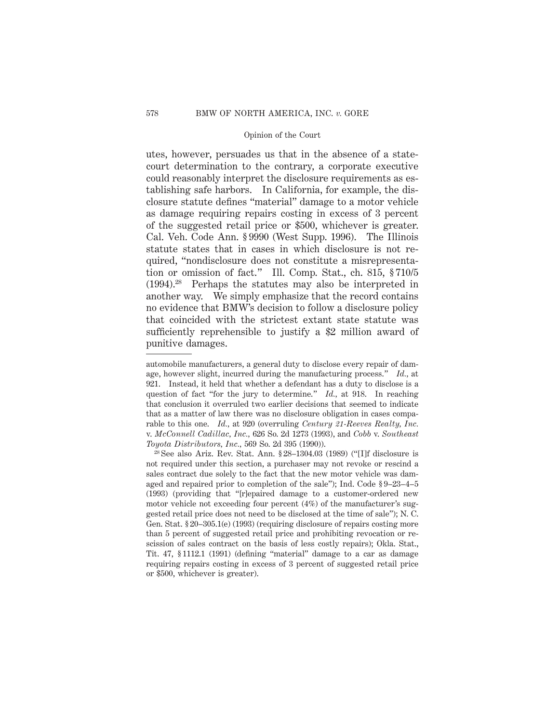utes, however, persuades us that in the absence of a statecourt determination to the contrary, a corporate executive could reasonably interpret the disclosure requirements as establishing safe harbors. In California, for example, the disclosure statute defines "material" damage to a motor vehicle as damage requiring repairs costing in excess of 3 percent of the suggested retail price or \$500, whichever is greater. Cal. Veh. Code Ann. § 9990 (West Supp. 1996). The Illinois statute states that in cases in which disclosure is not required, "nondisclosure does not constitute a misrepresentation or omission of fact." Ill. Comp. Stat., ch. 815, § 710/5 (1994).28 Perhaps the statutes may also be interpreted in another way. We simply emphasize that the record contains no evidence that BMW's decision to follow a disclosure policy that coincided with the strictest extant state statute was sufficiently reprehensible to justify a \$2 million award of punitive damages.

automobile manufacturers, a general duty to disclose every repair of damage, however slight, incurred during the manufacturing process." *Id.,* at 921. Instead, it held that whether a defendant has a duty to disclose is a question of fact "for the jury to determine." *Id.,* at 918. In reaching that conclusion it overruled two earlier decisions that seemed to indicate that as a matter of law there was no disclosure obligation in cases comparable to this one. *Id.,* at 920 (overruling *Century 21-Reeves Realty, Inc.* v. *McConnell Cadillac, Inc.,* 626 So. 2d 1273 (1993), and *Cobb* v. *Southeast Toyota Distributors, Inc.,* 569 So. 2d 395 (1990)).

 $28$  See also Ariz. Rev. Stat. Ann.  $\S 28-1304.03$  (1989) ("[I]f disclosure is not required under this section, a purchaser may not revoke or rescind a sales contract due solely to the fact that the new motor vehicle was damaged and repaired prior to completion of the sale"); Ind. Code § 9–23–4–5 (1993) (providing that "[r]epaired damage to a customer-ordered new motor vehicle not exceeding four percent (4%) of the manufacturer's suggested retail price does not need to be disclosed at the time of sale"); N. C. Gen. Stat. § 20–305.1(e) (1993) (requiring disclosure of repairs costing more than 5 percent of suggested retail price and prohibiting revocation or rescission of sales contract on the basis of less costly repairs); Okla. Stat., Tit. 47, § 1112.1 (1991) (defining "material" damage to a car as damage requiring repairs costing in excess of 3 percent of suggested retail price or \$500, whichever is greater).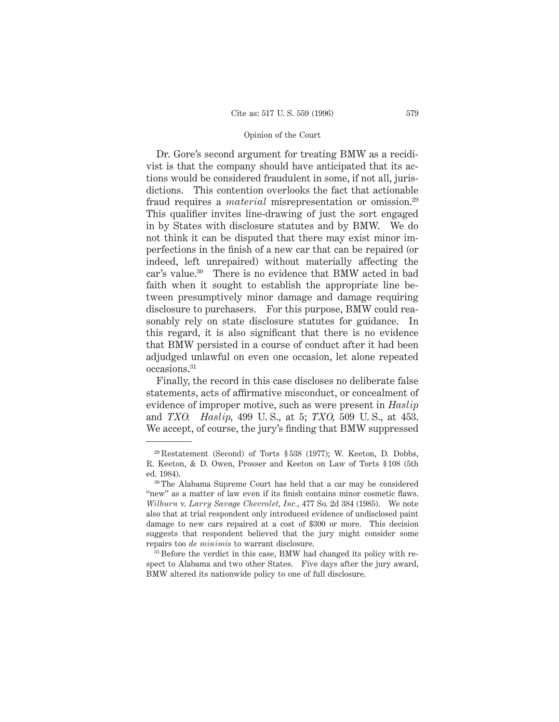Dr. Gore's second argument for treating BMW as a recidivist is that the company should have anticipated that its actions would be considered fraudulent in some, if not all, jurisdictions. This contention overlooks the fact that actionable fraud requires a *material* misrepresentation or omission.29 This qualifier invites line-drawing of just the sort engaged in by States with disclosure statutes and by BMW. We do not think it can be disputed that there may exist minor imperfections in the finish of a new car that can be repaired (or indeed, left unrepaired) without materially affecting the car's value.30 There is no evidence that BMW acted in bad faith when it sought to establish the appropriate line between presumptively minor damage and damage requiring disclosure to purchasers. For this purpose, BMW could reasonably rely on state disclosure statutes for guidance. In this regard, it is also significant that there is no evidence that BMW persisted in a course of conduct after it had been adjudged unlawful on even one occasion, let alone repeated occasions.31

Finally, the record in this case discloses no deliberate false statements, acts of affirmative misconduct, or concealment of evidence of improper motive, such as were present in *Haslip* and *TXO. Haslip,* 499 U. S., at 5; *TXO,* 509 U. S., at 453. We accept, of course, the jury's finding that BMW suppressed

 $29$  Restatement (Second) of Torts § 538 (1977); W. Keeton, D. Dobbs, R. Keeton, & D. Owen, Prosser and Keeton on Law of Torts § 108 (5th ed. 1984).

<sup>30</sup> The Alabama Supreme Court has held that a car may be considered "new" as a matter of law even if its finish contains minor cosmetic flaws. *Wilburn* v. *Larry Savage Chevrolet, Inc.,* 477 So. 2d 384 (1985). We note also that at trial respondent only introduced evidence of undisclosed paint damage to new cars repaired at a cost of \$300 or more. This decision suggests that respondent believed that the jury might consider some repairs too *de minimis* to warrant disclosure.

<sup>&</sup>lt;sup>31</sup> Before the verdict in this case, BMW had changed its policy with respect to Alabama and two other States. Five days after the jury award, BMW altered its nationwide policy to one of full disclosure.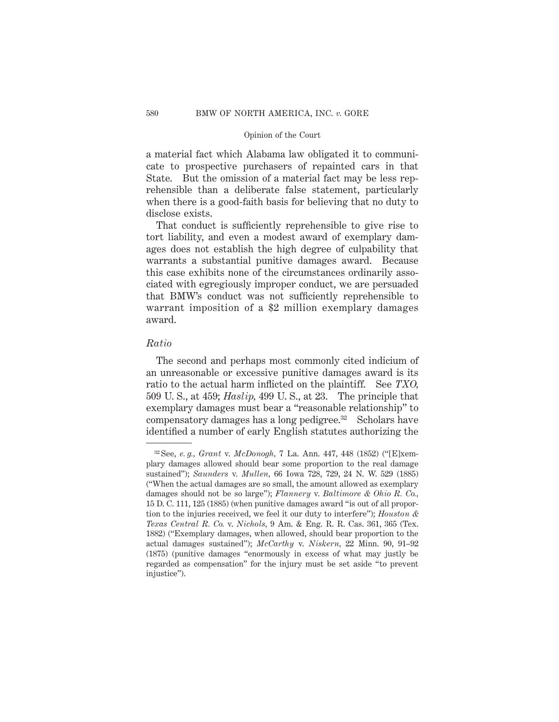a material fact which Alabama law obligated it to communicate to prospective purchasers of repainted cars in that State. But the omission of a material fact may be less reprehensible than a deliberate false statement, particularly when there is a good-faith basis for believing that no duty to disclose exists.

That conduct is sufficiently reprehensible to give rise to tort liability, and even a modest award of exemplary damages does not establish the high degree of culpability that warrants a substantial punitive damages award. Because this case exhibits none of the circumstances ordinarily associated with egregiously improper conduct, we are persuaded that BMW's conduct was not sufficiently reprehensible to warrant imposition of a \$2 million exemplary damages award.

#### *Ratio*

The second and perhaps most commonly cited indicium of an unreasonable or excessive punitive damages award is its ratio to the actual harm inflicted on the plaintiff. See *TXO,* 509 U. S., at 459; *Haslip,* 499 U. S., at 23. The principle that exemplary damages must bear a "reasonable relationship" to compensatory damages has a long pedigree. $32$  Scholars have identified a number of early English statutes authorizing the

<sup>32</sup> See, *e. g., Grant* v. *McDonogh,* 7 La. Ann. 447, 448 (1852) ("[E]xemplary damages allowed should bear some proportion to the real damage sustained"); *Saunders* v. *Mullen,* 66 Iowa 728, 729, 24 N. W. 529 (1885) ("When the actual damages are so small, the amount allowed as exemplary damages should not be so large"); *Flannery* v. *Baltimore & Ohio R. Co.,* 15 D. C. 111, 125 (1885) (when punitive damages award "is out of all proportion to the injuries received, we feel it our duty to interfere"); *Houston & Texas Central R. Co.* v. *Nichols,* 9 Am. & Eng. R. R. Cas. 361, 365 (Tex. 1882) ("Exemplary damages, when allowed, should bear proportion to the actual damages sustained"); *McCarthy* v. *Niskern,* 22 Minn. 90, 91–92 (1875) (punitive damages "enormously in excess of what may justly be regarded as compensation" for the injury must be set aside "to prevent injustice").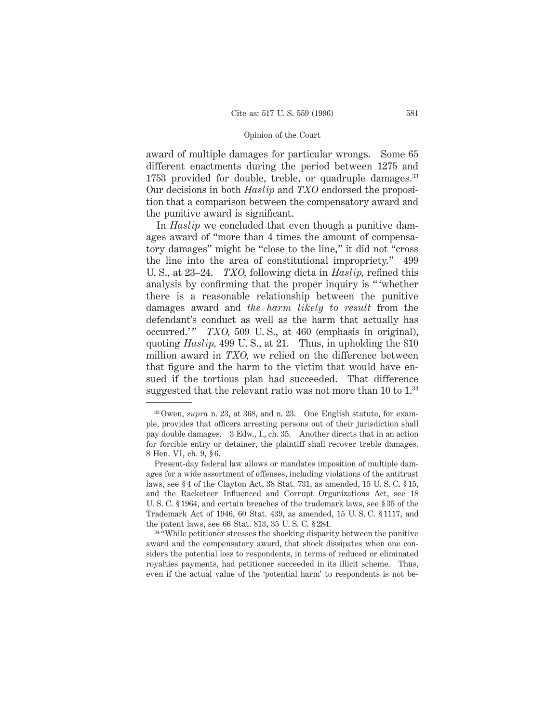award of multiple damages for particular wrongs. Some 65 different enactments during the period between 1275 and 1753 provided for double, treble, or quadruple damages.<sup>33</sup> Our decisions in both *Haslip* and *TXO* endorsed the proposition that a comparison between the compensatory award and the punitive award is significant.

In *Haslip* we concluded that even though a punitive damages award of "more than 4 times the amount of compensatory damages" might be "close to the line," it did not "cross the line into the area of constitutional impropriety." 499 U. S., at 23–24. *TXO,* following dicta in *Haslip,* refined this analysis by confirming that the proper inquiry is " 'whether there is a reasonable relationship between the punitive damages award and *the harm likely to result* from the defendant's conduct as well as the harm that actually has occurred.'" *TXO*, 509 U.S., at 460 (emphasis in original), quoting *Haslip,* 499 U. S., at 21. Thus, in upholding the \$10 million award in *TXO,* we relied on the difference between that figure and the harm to the victim that would have ensued if the tortious plan had succeeded. That difference suggested that the relevant ratio was not more than 10 to  $1^{34}$ 

<sup>34</sup> "While petitioner stresses the shocking disparity between the punitive award and the compensatory award, that shock dissipates when one considers the potential loss to respondents, in terms of reduced or eliminated royalties payments, had petitioner succeeded in its illicit scheme. Thus, even if the actual value of the 'potential harm' to respondents is not be-

<sup>33</sup> Owen, *supra* n. 23, at 368, and n. 23. One English statute, for example, provides that officers arresting persons out of their jurisdiction shall pay double damages. 3 Edw., I., ch. 35. Another directs that in an action for forcible entry or detainer, the plaintiff shall recover treble damages. 8 Hen. VI, ch. 9, § 6.

Present-day federal law allows or mandates imposition of multiple damages for a wide assortment of offenses, including violations of the antitrust laws, see § 4 of the Clayton Act, 38 Stat. 731, as amended, 15 U. S. C. § 15, and the Racketeer Influenced and Corrupt Organizations Act, see 18 U. S. C. § 1964, and certain breaches of the trademark laws, see § 35 of the Trademark Act of 1946, 60 Stat. 439, as amended, 15 U. S. C. § 1117, and the patent laws, see 66 Stat. 813, 35 U. S. C. § 284.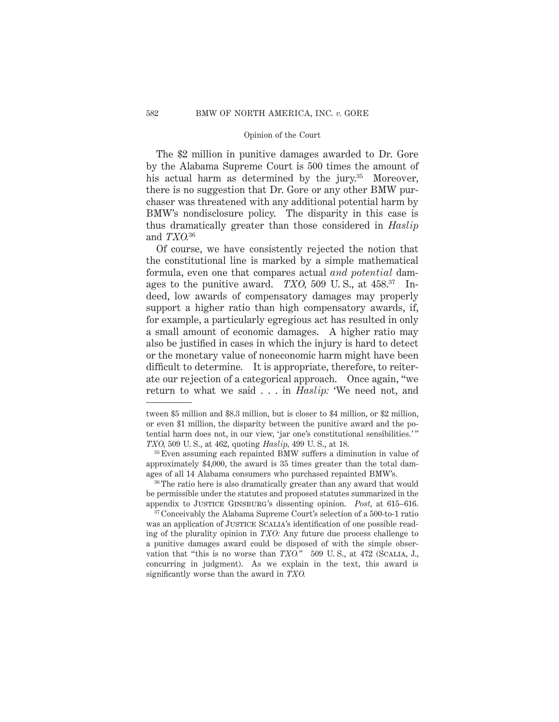The \$2 million in punitive damages awarded to Dr. Gore by the Alabama Supreme Court is 500 times the amount of his actual harm as determined by the jury.<sup>35</sup> Moreover, there is no suggestion that Dr. Gore or any other BMW purchaser was threatened with any additional potential harm by BMW's nondisclosure policy. The disparity in this case is thus dramatically greater than those considered in *Haslip* and *TXO.*<sup>36</sup>

Of course, we have consistently rejected the notion that the constitutional line is marked by a simple mathematical formula, even one that compares actual *and potential* damages to the punitive award. *TXO,* 509 U. S., at 458.37 Indeed, low awards of compensatory damages may properly support a higher ratio than high compensatory awards, if, for example, a particularly egregious act has resulted in only a small amount of economic damages. A higher ratio may also be justified in cases in which the injury is hard to detect or the monetary value of noneconomic harm might have been difficult to determine. It is appropriate, therefore, to reiterate our rejection of a categorical approach. Once again, "we return to what we said . . . in *Haslip:* 'We need not, and

tween \$5 million and \$8.3 million, but is closer to \$4 million, or \$2 million, or even \$1 million, the disparity between the punitive award and the potential harm does not, in our view, 'jar one's constitutional sensibilities.' " *TXO,* 509 U. S., at 462, quoting *Haslip,* 499 U. S., at 18.

<sup>35</sup> Even assuming each repainted BMW suffers a diminution in value of approximately \$4,000, the award is 35 times greater than the total damages of all 14 Alabama consumers who purchased repainted BMW's.

<sup>&</sup>lt;sup>36</sup> The ratio here is also dramatically greater than any award that would be permissible under the statutes and proposed statutes summarized in the appendix to Justice Ginsburg's dissenting opinion. *Post,* at 615–616.

<sup>&</sup>lt;sup>37</sup> Conceivably the Alabama Supreme Court's selection of a 500-to-1 ratio was an application of JUSTICE SCALIA's identification of one possible reading of the plurality opinion in *TXO:* Any future due process challenge to a punitive damages award could be disposed of with the simple observation that "this is no worse than *TXO.*" 509 U. S., at 472 (Scalia, J., concurring in judgment). As we explain in the text, this award is significantly worse than the award in *TXO.*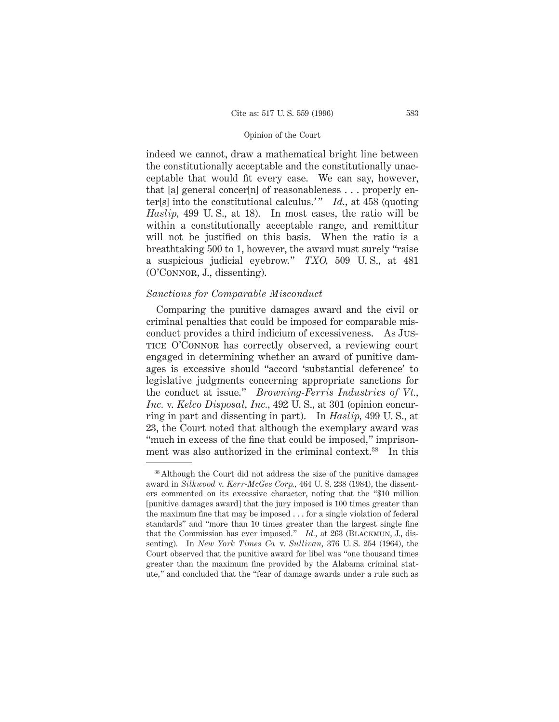indeed we cannot, draw a mathematical bright line between the constitutionally acceptable and the constitutionally unacceptable that would fit every case. We can say, however, that [a] general concer[n] of reasonableness . . . properly enter<sup>[s]</sup> into the constitutional calculus.'" *Id.*, at 458 (quoting *Haslip,* 499 U. S., at 18). In most cases, the ratio will be within a constitutionally acceptable range, and remittitur will not be justified on this basis. When the ratio is a breathtaking 500 to 1, however, the award must surely "raise a suspicious judicial eyebrow." *TXO,* 509 U. S., at 481 (O'Connor, J., dissenting).

#### *Sanctions for Comparable Misconduct*

Comparing the punitive damages award and the civil or criminal penalties that could be imposed for comparable misconduct provides a third indicium of excessiveness. As Justice O'Connor has correctly observed, a reviewing court engaged in determining whether an award of punitive damages is excessive should "accord 'substantial deference' to legislative judgments concerning appropriate sanctions for the conduct at issue." *Browning-Ferris Industries of Vt., Inc.* v. *Kelco Disposal, Inc.,* 492 U. S., at 301 (opinion concurring in part and dissenting in part). In *Haslip,* 499 U. S., at 23, the Court noted that although the exemplary award was "much in excess of the fine that could be imposed," imprisonment was also authorized in the criminal context.<sup>38</sup> In this

<sup>38</sup> Although the Court did not address the size of the punitive damages award in *Silkwood* v. *Kerr-McGee Corp.,* 464 U. S. 238 (1984), the dissenters commented on its excessive character, noting that the "\$10 million [punitive damages award] that the jury imposed is 100 times greater than the maximum fine that may be imposed . . . for a single violation of federal standards" and "more than 10 times greater than the largest single fine that the Commission has ever imposed." *Id.,* at 263 (Blackmun, J., dissenting). In *New York Times Co.* v. *Sullivan,* 376 U. S. 254 (1964), the Court observed that the punitive award for libel was "one thousand times greater than the maximum fine provided by the Alabama criminal statute," and concluded that the "fear of damage awards under a rule such as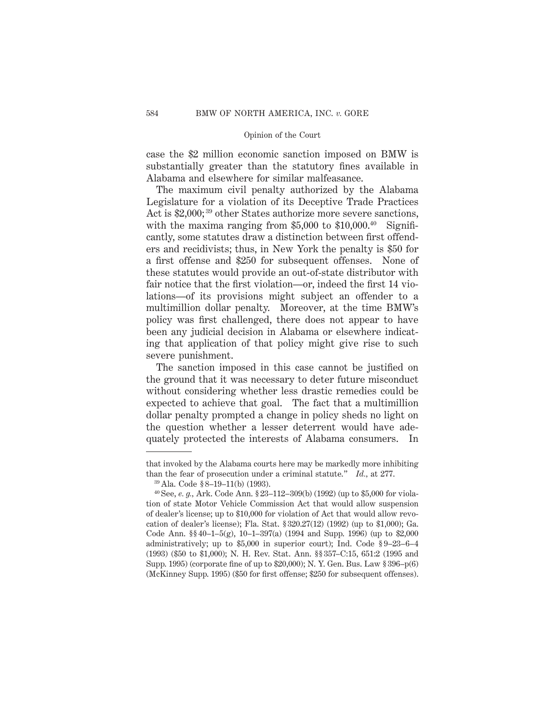case the \$2 million economic sanction imposed on BMW is substantially greater than the statutory fines available in Alabama and elsewhere for similar malfeasance.

The maximum civil penalty authorized by the Alabama Legislature for a violation of its Deceptive Trade Practices Act is \$2,000;<sup>39</sup> other States authorize more severe sanctions, with the maxima ranging from  $$5,000$  to  $$10,000.<sup>40</sup>$  Significantly, some statutes draw a distinction between first offenders and recidivists; thus, in New York the penalty is \$50 for a first offense and \$250 for subsequent offenses. None of these statutes would provide an out-of-state distributor with fair notice that the first violation—or, indeed the first 14 violations—of its provisions might subject an offender to a multimillion dollar penalty. Moreover, at the time BMW's policy was first challenged, there does not appear to have been any judicial decision in Alabama or elsewhere indicating that application of that policy might give rise to such severe punishment.

The sanction imposed in this case cannot be justified on the ground that it was necessary to deter future misconduct without considering whether less drastic remedies could be expected to achieve that goal. The fact that a multimillion dollar penalty prompted a change in policy sheds no light on the question whether a lesser deterrent would have adequately protected the interests of Alabama consumers. In

that invoked by the Alabama courts here may be markedly more inhibiting than the fear of prosecution under a criminal statute." *Id.,* at 277.

<sup>39</sup> Ala. Code § 8–19–11(b) (1993).

<sup>40</sup> See, *e. g.,* Ark. Code Ann. § 23–112–309(b) (1992) (up to \$5,000 for violation of state Motor Vehicle Commission Act that would allow suspension of dealer's license; up to \$10,000 for violation of Act that would allow revocation of dealer's license); Fla. Stat. § 320.27(12) (1992) (up to \$1,000); Ga. Code Ann.  $\S 40-1-5(g)$ , 10-1-397(a) (1994 and Supp. 1996) (up to \$2,000 administratively; up to \$5,000 in superior court); Ind. Code § 9–23–6–4 (1993) (\$50 to \$1,000); N. H. Rev. Stat. Ann. §§ 357–C:15, 651:2 (1995 and Supp. 1995) (corporate fine of up to \$20,000); N. Y. Gen. Bus. Law § 396–p(6) (McKinney Supp. 1995) (\$50 for first offense; \$250 for subsequent offenses).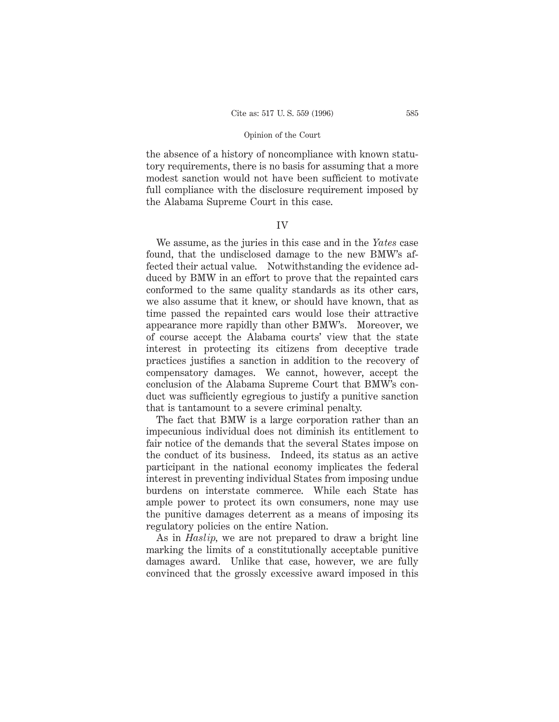the absence of a history of noncompliance with known statutory requirements, there is no basis for assuming that a more modest sanction would not have been sufficient to motivate full compliance with the disclosure requirement imposed by the Alabama Supreme Court in this case.

### IV

We assume, as the juries in this case and in the *Yates* case found, that the undisclosed damage to the new BMW's affected their actual value. Notwithstanding the evidence adduced by BMW in an effort to prove that the repainted cars conformed to the same quality standards as its other cars, we also assume that it knew, or should have known, that as time passed the repainted cars would lose their attractive appearance more rapidly than other BMW's. Moreover, we of course accept the Alabama courts' view that the state interest in protecting its citizens from deceptive trade practices justifies a sanction in addition to the recovery of compensatory damages. We cannot, however, accept the conclusion of the Alabama Supreme Court that BMW's conduct was sufficiently egregious to justify a punitive sanction that is tantamount to a severe criminal penalty.

The fact that BMW is a large corporation rather than an impecunious individual does not diminish its entitlement to fair notice of the demands that the several States impose on the conduct of its business. Indeed, its status as an active participant in the national economy implicates the federal interest in preventing individual States from imposing undue burdens on interstate commerce. While each State has ample power to protect its own consumers, none may use the punitive damages deterrent as a means of imposing its regulatory policies on the entire Nation.

As in *Haslip,* we are not prepared to draw a bright line marking the limits of a constitutionally acceptable punitive damages award. Unlike that case, however, we are fully convinced that the grossly excessive award imposed in this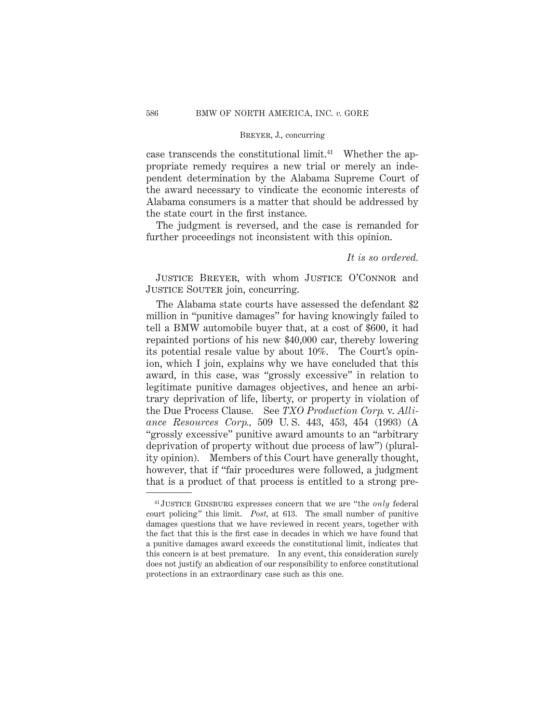case transcends the constitutional limit.<sup>41</sup> Whether the appropriate remedy requires a new trial or merely an independent determination by the Alabama Supreme Court of the award necessary to vindicate the economic interests of Alabama consumers is a matter that should be addressed by the state court in the first instance.

The judgment is reversed, and the case is remanded for further proceedings not inconsistent with this opinion.

#### *It is so ordered.*

Justice Breyer, with whom Justice O'Connor and JUSTICE SOUTER join, concurring.

The Alabama state courts have assessed the defendant \$2 million in "punitive damages" for having knowingly failed to tell a BMW automobile buyer that, at a cost of \$600, it had repainted portions of his new \$40,000 car, thereby lowering its potential resale value by about 10%. The Court's opinion, which I join, explains why we have concluded that this award, in this case, was "grossly excessive" in relation to legitimate punitive damages objectives, and hence an arbitrary deprivation of life, liberty, or property in violation of the Due Process Clause. See *TXO Production Corp.* v. *Alliance Resources Corp.,* 509 U. S. 443, 453, 454 (1993) (A "grossly excessive" punitive award amounts to an "arbitrary deprivation of property without due process of law") (plurality opinion). Members of this Court have generally thought, however, that if "fair procedures were followed, a judgment that is a product of that process is entitled to a strong pre-

<sup>41</sup> Justice Ginsburg expresses concern that we are "the *only* federal court policing" this limit. *Post,* at 613. The small number of punitive damages questions that we have reviewed in recent years, together with the fact that this is the first case in decades in which we have found that a punitive damages award exceeds the constitutional limit, indicates that this concern is at best premature. In any event, this consideration surely does not justify an abdication of our responsibility to enforce constitutional protections in an extraordinary case such as this one.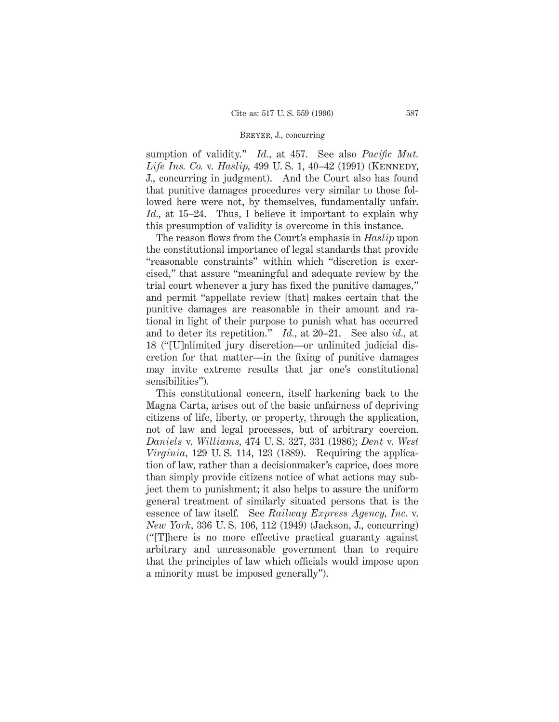sumption of validity." *Id.,* at 457. See also *Pacific Mut. Life Ins. Co.* v. *Haslip,* 499 U. S. 1, 40–42 (1991) (Kennedy, J., concurring in judgment). And the Court also has found that punitive damages procedures very similar to those followed here were not, by themselves, fundamentally unfair. *Id.,* at 15–24. Thus, I believe it important to explain why this presumption of validity is overcome in this instance.

The reason flows from the Court's emphasis in *Haslip* upon the constitutional importance of legal standards that provide "reasonable constraints" within which "discretion is exercised," that assure "meaningful and adequate review by the trial court whenever a jury has fixed the punitive damages," and permit "appellate review [that] makes certain that the punitive damages are reasonable in their amount and rational in light of their purpose to punish what has occurred and to deter its repetition." *Id.,* at 20–21. See also *id.,* at 18 ("[U]nlimited jury discretion—or unlimited judicial discretion for that matter—in the fixing of punitive damages may invite extreme results that jar one's constitutional sensibilities").

This constitutional concern, itself harkening back to the Magna Carta, arises out of the basic unfairness of depriving citizens of life, liberty, or property, through the application, not of law and legal processes, but of arbitrary coercion. *Daniels* v. *Williams,* 474 U. S. 327, 331 (1986); *Dent* v. *West Virginia,* 129 U. S. 114, 123 (1889). Requiring the application of law, rather than a decisionmaker's caprice, does more than simply provide citizens notice of what actions may subject them to punishment; it also helps to assure the uniform general treatment of similarly situated persons that is the essence of law itself. See *Railway Express Agency, Inc.* v. *New York,* 336 U. S. 106, 112 (1949) (Jackson, J., concurring) ("[T]here is no more effective practical guaranty against arbitrary and unreasonable government than to require that the principles of law which officials would impose upon a minority must be imposed generally").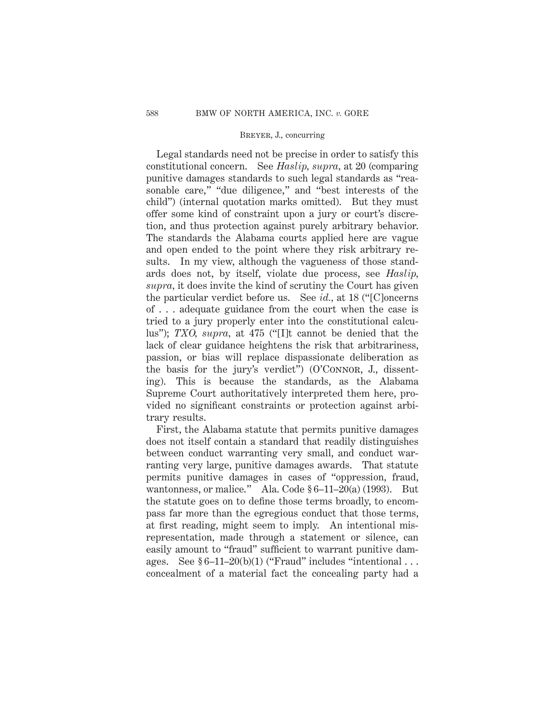Legal standards need not be precise in order to satisfy this constitutional concern. See *Haslip, supra,* at 20 (comparing punitive damages standards to such legal standards as "reasonable care," "due diligence," and "best interests of the child") (internal quotation marks omitted). But they must offer some kind of constraint upon a jury or court's discretion, and thus protection against purely arbitrary behavior. The standards the Alabama courts applied here are vague and open ended to the point where they risk arbitrary results. In my view, although the vagueness of those standards does not, by itself, violate due process, see *Haslip, supra,* it does invite the kind of scrutiny the Court has given the particular verdict before us. See *id.,* at 18 ("[C]oncerns of . . . adequate guidance from the court when the case is tried to a jury properly enter into the constitutional calculus"); *TXO, supra,* at 475 ("[I]t cannot be denied that the lack of clear guidance heightens the risk that arbitrariness, passion, or bias will replace dispassionate deliberation as the basis for the jury's verdict") (O'Connor, J., dissenting). This is because the standards, as the Alabama Supreme Court authoritatively interpreted them here, provided no significant constraints or protection against arbitrary results.

First, the Alabama statute that permits punitive damages does not itself contain a standard that readily distinguishes between conduct warranting very small, and conduct warranting very large, punitive damages awards. That statute permits punitive damages in cases of "oppression, fraud, wantonness, or malice." Ala. Code § 6–11–20(a) (1993). But the statute goes on to define those terms broadly, to encompass far more than the egregious conduct that those terms, at first reading, might seem to imply. An intentional misrepresentation, made through a statement or silence, can easily amount to "fraud" sufficient to warrant punitive damages. See  $§ 6-11-20(b)(1)$  ("Fraud" includes "intentional... concealment of a material fact the concealing party had a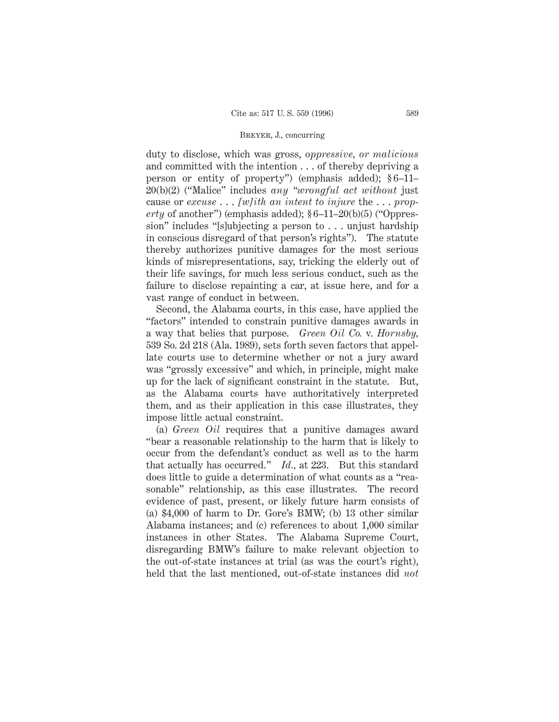duty to disclose, which was gross, *oppressive, or malicious* and committed with the intention . . . of thereby depriving a person or entity of property") (emphasis added); § 6–11– 20(b)(2) ("Malice" includes *any "wrongful act without* just cause or *excuse* ... *[w]ith an intent to injure* the . . . *property* of another") (emphasis added); § 6–11–20(b)(5) ("Oppression" includes "[s]ubjecting a person to . . . unjust hardship in conscious disregard of that person's rights"). The statute thereby authorizes punitive damages for the most serious kinds of misrepresentations, say, tricking the elderly out of their life savings, for much less serious conduct, such as the failure to disclose repainting a car, at issue here, and for a vast range of conduct in between.

Second, the Alabama courts, in this case, have applied the "factors" intended to constrain punitive damages awards in a way that belies that purpose. *Green Oil Co.* v. *Hornsby,* 539 So. 2d 218 (Ala. 1989), sets forth seven factors that appellate courts use to determine whether or not a jury award was "grossly excessive" and which, in principle, might make up for the lack of significant constraint in the statute. But, as the Alabama courts have authoritatively interpreted them, and as their application in this case illustrates, they impose little actual constraint.

(a) *Green Oil* requires that a punitive damages award "bear a reasonable relationship to the harm that is likely to occur from the defendant's conduct as well as to the harm that actually has occurred." *Id.,* at 223. But this standard does little to guide a determination of what counts as a "reasonable" relationship, as this case illustrates. The record evidence of past, present, or likely future harm consists of (a) \$4,000 of harm to Dr. Gore's BMW; (b) 13 other similar Alabama instances; and (c) references to about 1,000 similar instances in other States. The Alabama Supreme Court, disregarding BMW's failure to make relevant objection to the out-of-state instances at trial (as was the court's right), held that the last mentioned, out-of-state instances did *not*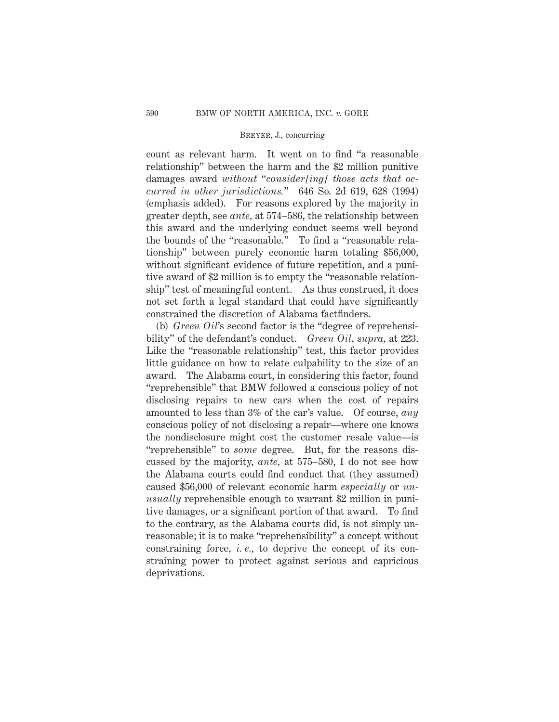count as relevant harm. It went on to find "a reasonable relationship" between the harm and the \$2 million punitive damages award *without* "*consider[ing] those acts that occurred in other jurisdictions.*" 646 So. 2d 619, 628 (1994) (emphasis added). For reasons explored by the majority in greater depth, see *ante,* at 574–586, the relationship between this award and the underlying conduct seems well beyond the bounds of the "reasonable." To find a "reasonable relationship" between purely economic harm totaling \$56,000, without significant evidence of future repetition, and a punitive award of \$2 million is to empty the "reasonable relationship" test of meaningful content. As thus construed, it does not set forth a legal standard that could have significantly constrained the discretion of Alabama factfinders.

(b) *Green Oil*'s second factor is the "degree of reprehensibility" of the defendant's conduct. *Green Oil, supra,* at 223. Like the "reasonable relationship" test, this factor provides little guidance on how to relate culpability to the size of an award. The Alabama court, in considering this factor, found "reprehensible" that BMW followed a conscious policy of not disclosing repairs to new cars when the cost of repairs amounted to less than 3% of the car's value. Of course, *any* conscious policy of not disclosing a repair—where one knows the nondisclosure might cost the customer resale value—is "reprehensible" to *some* degree. But, for the reasons discussed by the majority, *ante,* at 575–580, I do not see how the Alabama courts could find conduct that (they assumed) caused \$56,000 of relevant economic harm *especially* or *unusually* reprehensible enough to warrant \$2 million in punitive damages, or a significant portion of that award. To find to the contrary, as the Alabama courts did, is not simply unreasonable; it is to make "reprehensibility" a concept without constraining force, *i. e.,* to deprive the concept of its constraining power to protect against serious and capricious deprivations.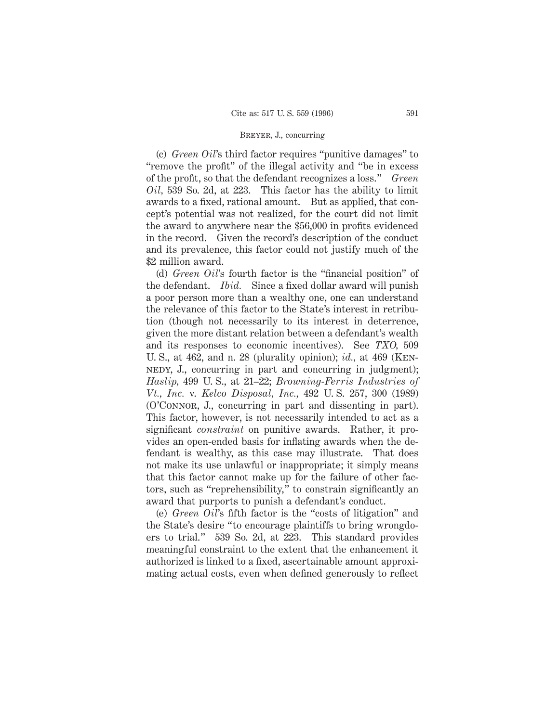(c) *Green Oil*'s third factor requires "punitive damages" to "remove the profit" of the illegal activity and "be in excess of the profit, so that the defendant recognizes a loss." *Green Oil,* 539 So. 2d, at 223. This factor has the ability to limit awards to a fixed, rational amount. But as applied, that concept's potential was not realized, for the court did not limit the award to anywhere near the \$56,000 in profits evidenced in the record. Given the record's description of the conduct and its prevalence, this factor could not justify much of the \$2 million award.

(d) *Green Oil*'s fourth factor is the "financial position" of the defendant. *Ibid.* Since a fixed dollar award will punish a poor person more than a wealthy one, one can understand the relevance of this factor to the State's interest in retribution (though not necessarily to its interest in deterrence, given the more distant relation between a defendant's wealth and its responses to economic incentives). See *TXO,* 509 U. S., at 462, and n. 28 (plurality opinion); *id.,* at 469 (Kennedy, J., concurring in part and concurring in judgment); *Haslip,* 499 U. S., at 21–22; *Browning-Ferris Industries of Vt., Inc.* v. *Kelco Disposal, Inc.,* 492 U. S. 257, 300 (1989) (O'Connor, J., concurring in part and dissenting in part). This factor, however, is not necessarily intended to act as a significant *constraint* on punitive awards. Rather, it provides an open-ended basis for inflating awards when the defendant is wealthy, as this case may illustrate. That does not make its use unlawful or inappropriate; it simply means that this factor cannot make up for the failure of other factors, such as "reprehensibility," to constrain significantly an award that purports to punish a defendant's conduct.

(e) *Green Oil*'s fifth factor is the "costs of litigation" and the State's desire "to encourage plaintiffs to bring wrongdoers to trial." 539 So. 2d, at 223. This standard provides meaningful constraint to the extent that the enhancement it authorized is linked to a fixed, ascertainable amount approximating actual costs, even when defined generously to reflect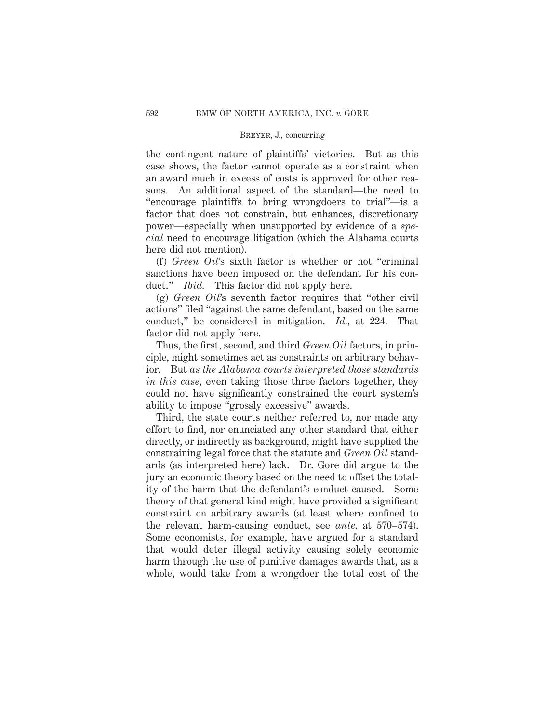the contingent nature of plaintiffs' victories. But as this case shows, the factor cannot operate as a constraint when an award much in excess of costs is approved for other reasons. An additional aspect of the standard—the need to "encourage plaintiffs to bring wrongdoers to trial"—is a factor that does not constrain, but enhances, discretionary power—especially when unsupported by evidence of a *special* need to encourage litigation (which the Alabama courts here did not mention).

(f) *Green Oil*'s sixth factor is whether or not "criminal sanctions have been imposed on the defendant for his conduct." *Ibid.* This factor did not apply here.

(g) *Green Oil*'s seventh factor requires that "other civil actions" filed "against the same defendant, based on the same conduct," be considered in mitigation. *Id.,* at 224. That factor did not apply here.

Thus, the first, second, and third *Green Oil* factors, in principle, might sometimes act as constraints on arbitrary behavior. But *as the Alabama courts interpreted those standards in this case,* even taking those three factors together, they could not have significantly constrained the court system's ability to impose "grossly excessive" awards.

Third, the state courts neither referred to, nor made any effort to find, nor enunciated any other standard that either directly, or indirectly as background, might have supplied the constraining legal force that the statute and *Green Oil* standards (as interpreted here) lack. Dr. Gore did argue to the jury an economic theory based on the need to offset the totality of the harm that the defendant's conduct caused. Some theory of that general kind might have provided a significant constraint on arbitrary awards (at least where confined to the relevant harm-causing conduct, see *ante,* at 570–574). Some economists, for example, have argued for a standard that would deter illegal activity causing solely economic harm through the use of punitive damages awards that, as a whole, would take from a wrongdoer the total cost of the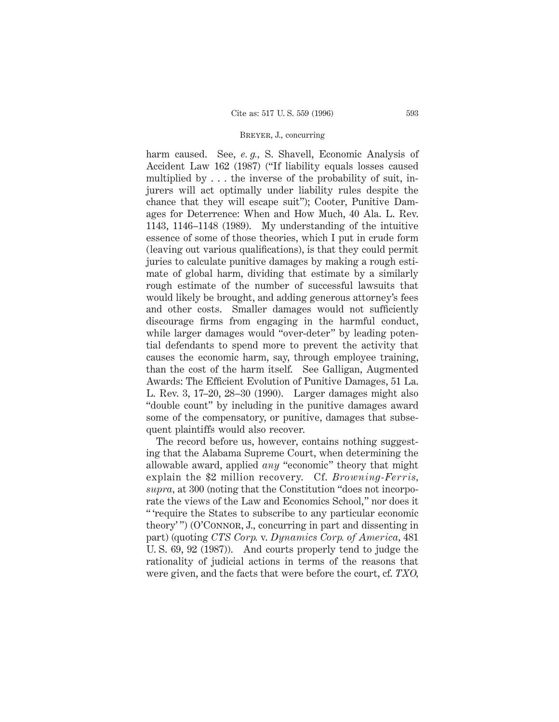harm caused. See, *e. g.,* S. Shavell, Economic Analysis of Accident Law 162 (1987) ("If liability equals losses caused multiplied by . . . the inverse of the probability of suit, injurers will act optimally under liability rules despite the chance that they will escape suit"); Cooter, Punitive Damages for Deterrence: When and How Much, 40 Ala. L. Rev. 1143, 1146–1148 (1989). My understanding of the intuitive essence of some of those theories, which I put in crude form (leaving out various qualifications), is that they could permit juries to calculate punitive damages by making a rough estimate of global harm, dividing that estimate by a similarly rough estimate of the number of successful lawsuits that would likely be brought, and adding generous attorney's fees and other costs. Smaller damages would not sufficiently discourage firms from engaging in the harmful conduct, while larger damages would "over-deter" by leading potential defendants to spend more to prevent the activity that causes the economic harm, say, through employee training, than the cost of the harm itself. See Galligan, Augmented Awards: The Efficient Evolution of Punitive Damages, 51 La. L. Rev. 3, 17–20, 28–30 (1990). Larger damages might also "double count" by including in the punitive damages award some of the compensatory, or punitive, damages that subsequent plaintiffs would also recover.

The record before us, however, contains nothing suggesting that the Alabama Supreme Court, when determining the allowable award, applied *any* "economic" theory that might explain the \$2 million recovery. Cf. *Browning-Ferris, supra,* at 300 (noting that the Constitution "does not incorporate the views of the Law and Economics School," nor does it " 'require the States to subscribe to any particular economic theory' ") (O'Connor, J., concurring in part and dissenting in part) (quoting *CTS Corp.* v. *Dynamics Corp. of America,* 481 U. S. 69, 92 (1987)). And courts properly tend to judge the rationality of judicial actions in terms of the reasons that were given, and the facts that were before the court, cf. *TXO,*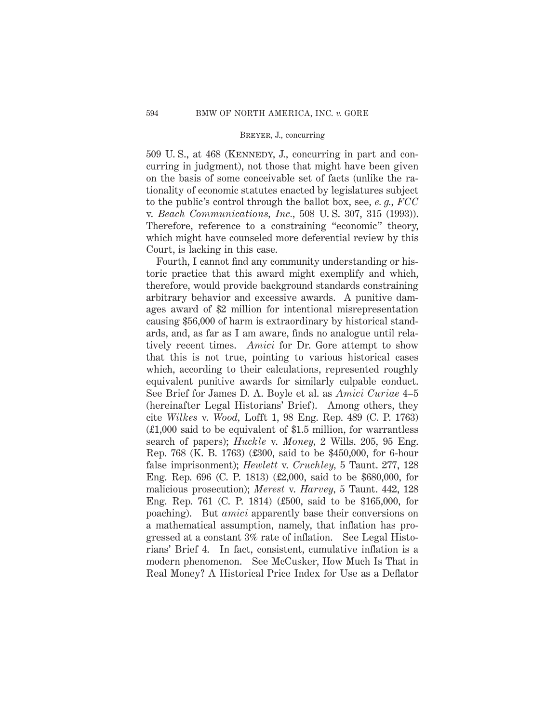509 U. S., at 468 (Kennedy, J., concurring in part and concurring in judgment), not those that might have been given on the basis of some conceivable set of facts (unlike the rationality of economic statutes enacted by legislatures subject to the public's control through the ballot box, see, *e. g., FCC* v. *Beach Communications, Inc.,* 508 U. S. 307, 315 (1993)). Therefore, reference to a constraining "economic" theory, which might have counseled more deferential review by this Court, is lacking in this case.

Fourth, I cannot find any community understanding or historic practice that this award might exemplify and which, therefore, would provide background standards constraining arbitrary behavior and excessive awards. A punitive damages award of \$2 million for intentional misrepresentation causing \$56,000 of harm is extraordinary by historical standards, and, as far as I am aware, finds no analogue until relatively recent times. *Amici* for Dr. Gore attempt to show that this is not true, pointing to various historical cases which, according to their calculations, represented roughly equivalent punitive awards for similarly culpable conduct. See Brief for James D. A. Boyle et al. as *Amici Curiae* 4–5 (hereinafter Legal Historians' Brief). Among others, they cite *Wilkes* v. *Wood,* Lofft 1, 98 Eng. Rep. 489 (C. P. 1763) (£1,000 said to be equivalent of \$1.5 million, for warrantless search of papers); *Huckle* v. *Money,* 2 Wills. 205, 95 Eng. Rep. 768 (K. B. 1763) (£300, said to be \$450,000, for 6-hour false imprisonment); *Hewlett* v. *Cruchley,* 5 Taunt. 277, 128 Eng. Rep. 696 (C. P. 1813) (£2,000, said to be \$680,000, for malicious prosecution); *Merest* v. *Harvey,* 5 Taunt. 442, 128 Eng. Rep. 761 (C. P. 1814) (£500, said to be \$165,000, for poaching). But *amici* apparently base their conversions on a mathematical assumption, namely, that inflation has progressed at a constant 3% rate of inflation. See Legal Historians' Brief 4. In fact, consistent, cumulative inflation is a modern phenomenon. See McCusker, How Much Is That in Real Money? A Historical Price Index for Use as a Deflator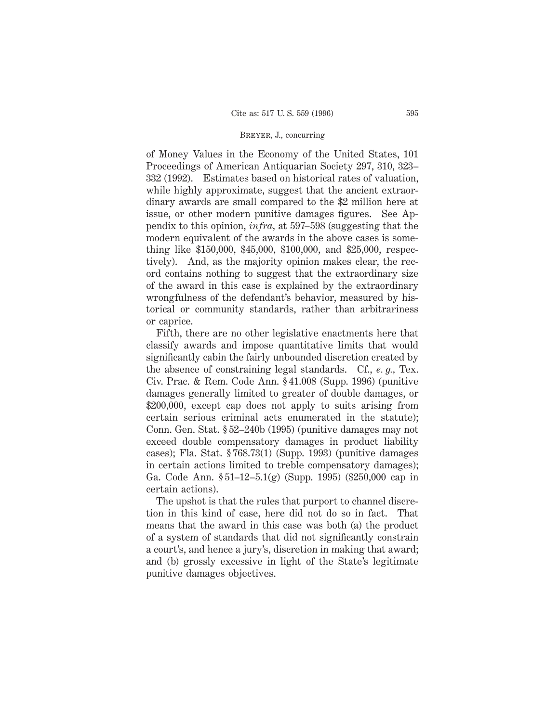of Money Values in the Economy of the United States, 101 Proceedings of American Antiquarian Society 297, 310, 323– 332 (1992). Estimates based on historical rates of valuation, while highly approximate, suggest that the ancient extraordinary awards are small compared to the \$2 million here at issue, or other modern punitive damages figures. See Appendix to this opinion, *infra,* at 597–598 (suggesting that the modern equivalent of the awards in the above cases is something like \$150,000, \$45,000, \$100,000, and \$25,000, respectively). And, as the majority opinion makes clear, the record contains nothing to suggest that the extraordinary size of the award in this case is explained by the extraordinary wrongfulness of the defendant's behavior, measured by historical or community standards, rather than arbitrariness or caprice.

Fifth, there are no other legislative enactments here that classify awards and impose quantitative limits that would significantly cabin the fairly unbounded discretion created by the absence of constraining legal standards. Cf., *e. g.,* Tex. Civ. Prac. & Rem. Code Ann. § 41.008 (Supp. 1996) (punitive damages generally limited to greater of double damages, or \$200,000, except cap does not apply to suits arising from certain serious criminal acts enumerated in the statute); Conn. Gen. Stat. § 52–240b (1995) (punitive damages may not exceed double compensatory damages in product liability cases); Fla. Stat. § 768.73(1) (Supp. 1993) (punitive damages in certain actions limited to treble compensatory damages); Ga. Code Ann. § 51–12–5.1(g) (Supp. 1995) (\$250,000 cap in certain actions).

The upshot is that the rules that purport to channel discretion in this kind of case, here did not do so in fact. That means that the award in this case was both (a) the product of a system of standards that did not significantly constrain a court's, and hence a jury's, discretion in making that award; and (b) grossly excessive in light of the State's legitimate punitive damages objectives.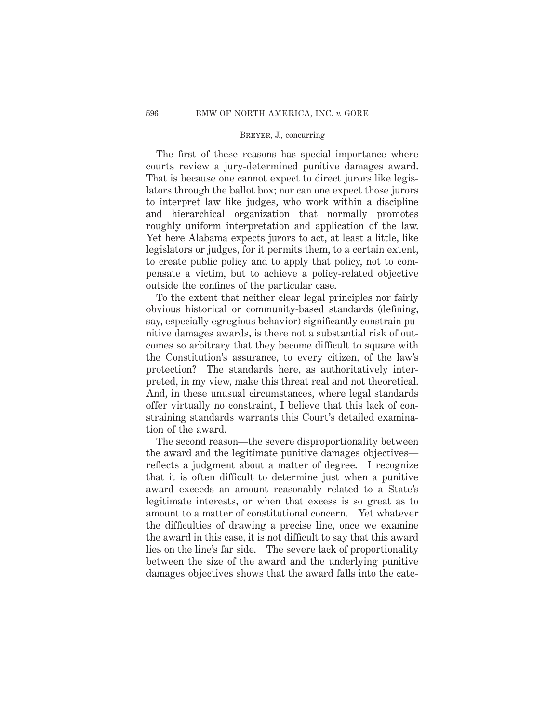The first of these reasons has special importance where courts review a jury-determined punitive damages award. That is because one cannot expect to direct jurors like legislators through the ballot box; nor can one expect those jurors to interpret law like judges, who work within a discipline and hierarchical organization that normally promotes roughly uniform interpretation and application of the law. Yet here Alabama expects jurors to act, at least a little, like legislators or judges, for it permits them, to a certain extent, to create public policy and to apply that policy, not to compensate a victim, but to achieve a policy-related objective outside the confines of the particular case.

To the extent that neither clear legal principles nor fairly obvious historical or community-based standards (defining, say, especially egregious behavior) significantly constrain punitive damages awards, is there not a substantial risk of outcomes so arbitrary that they become difficult to square with the Constitution's assurance, to every citizen, of the law's protection? The standards here, as authoritatively interpreted, in my view, make this threat real and not theoretical. And, in these unusual circumstances, where legal standards offer virtually no constraint, I believe that this lack of constraining standards warrants this Court's detailed examination of the award.

The second reason—the severe disproportionality between the award and the legitimate punitive damages objectives reflects a judgment about a matter of degree. I recognize that it is often difficult to determine just when a punitive award exceeds an amount reasonably related to a State's legitimate interests, or when that excess is so great as to amount to a matter of constitutional concern. Yet whatever the difficulties of drawing a precise line, once we examine the award in this case, it is not difficult to say that this award lies on the line's far side. The severe lack of proportionality between the size of the award and the underlying punitive damages objectives shows that the award falls into the cate-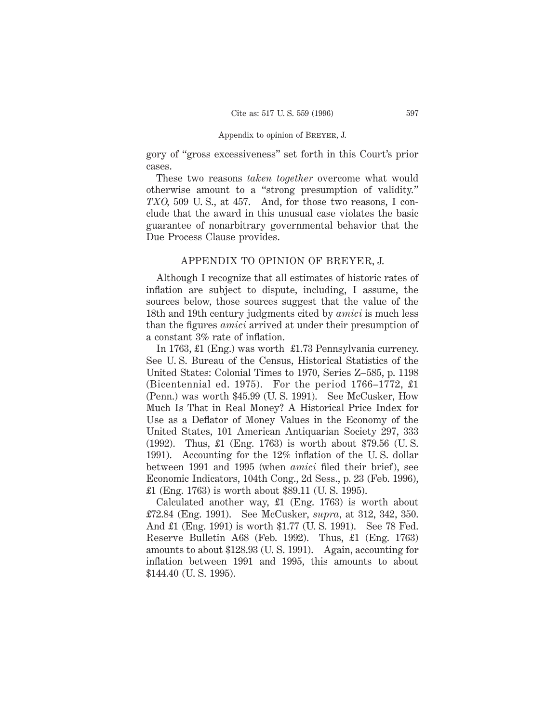#### Appendix to opinion of Breyer, J.

gory of "gross excessiveness" set forth in this Court's prior cases.

These two reasons *taken together* overcome what would otherwise amount to a "strong presumption of validity." *TXO*, 509 U.S., at 457. And, for those two reasons, I conclude that the award in this unusual case violates the basic guarantee of nonarbitrary governmental behavior that the Due Process Clause provides.

### APPENDIX TO OPINION OF BREYER, J.

Although I recognize that all estimates of historic rates of inflation are subject to dispute, including, I assume, the sources below, those sources suggest that the value of the 18th and 19th century judgments cited by *amici* is much less than the figures *amici* arrived at under their presumption of a constant 3% rate of inflation.

In 1763, £1 (Eng.) was worth £1.73 Pennsylvania currency. See U. S. Bureau of the Census, Historical Statistics of the United States: Colonial Times to 1970, Series Z–585, p. 1198 (Bicentennial ed. 1975). For the period 1766–1772, £1 (Penn.) was worth \$45.99 (U. S. 1991). See McCusker, How Much Is That in Real Money? A Historical Price Index for Use as a Deflator of Money Values in the Economy of the United States, 101 American Antiquarian Society 297, 333 (1992). Thus, £1 (Eng. 1763) is worth about \$79.56 (U. S. 1991). Accounting for the 12% inflation of the U. S. dollar between 1991 and 1995 (when *amici* filed their brief), see Economic Indicators, 104th Cong., 2d Sess., p. 23 (Feb. 1996), £1 (Eng. 1763) is worth about \$89.11 (U. S. 1995).

Calculated another way, £1 (Eng. 1763) is worth about £72.84 (Eng. 1991). See McCusker, *supra,* at 312, 342, 350. And £1 (Eng. 1991) is worth \$1.77 (U. S. 1991). See 78 Fed. Reserve Bulletin A68 (Feb. 1992). Thus, £1 (Eng. 1763) amounts to about \$128.93 (U. S. 1991). Again, accounting for inflation between 1991 and 1995, this amounts to about \$144.40 (U. S. 1995).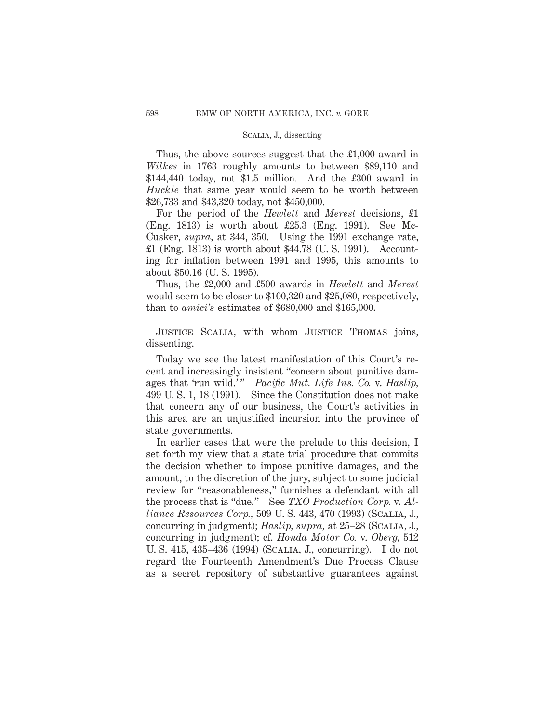Thus, the above sources suggest that the £1,000 award in *Wilkes* in 1763 roughly amounts to between \$89,110 and \$144,440 today, not \$1.5 million. And the £300 award in *Huckle* that same year would seem to be worth between \$26,733 and \$43,320 today, not \$450,000.

For the period of the *Hewlett* and *Merest* decisions, £1 (Eng. 1813) is worth about £25.3 (Eng. 1991). See Mc-Cusker, *supra,* at 344, 350. Using the 1991 exchange rate, £1 (Eng. 1813) is worth about \$44.78 (U. S. 1991). Accounting for inflation between 1991 and 1995, this amounts to about \$50.16 (U. S. 1995).

Thus, the £2,000 and £500 awards in *Hewlett* and *Merest* would seem to be closer to \$100,320 and \$25,080, respectively, than to *amici's* estimates of \$680,000 and \$165,000.

Justice Scalia, with whom Justice Thomas joins, dissenting.

Today we see the latest manifestation of this Court's recent and increasingly insistent "concern about punitive damages that 'run wild.'" *Pacific Mut. Life Ins. Co. v. Haslip*, 499 U. S. 1, 18 (1991). Since the Constitution does not make that concern any of our business, the Court's activities in this area are an unjustified incursion into the province of state governments.

In earlier cases that were the prelude to this decision, I set forth my view that a state trial procedure that commits the decision whether to impose punitive damages, and the amount, to the discretion of the jury, subject to some judicial review for "reasonableness," furnishes a defendant with all the process that is "due." See *TXO Production Corp.* v. *Alliance Resources Corp.,* 509 U. S. 443, 470 (1993) (Scalia, J., concurring in judgment); *Haslip, supra,* at 25–28 (Scalia, J., concurring in judgment); cf. *Honda Motor Co.* v. *Oberg,* 512 U. S. 415, 435–436 (1994) (Scalia, J., concurring). I do not regard the Fourteenth Amendment's Due Process Clause as a secret repository of substantive guarantees against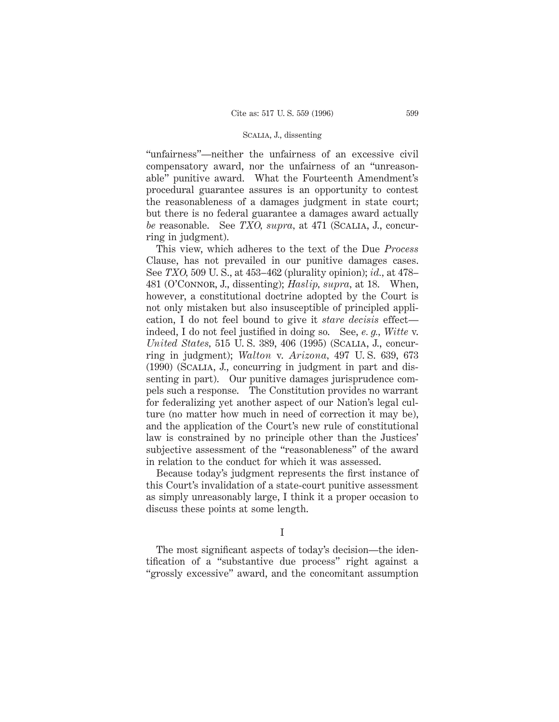"unfairness"—neither the unfairness of an excessive civil compensatory award, nor the unfairness of an "unreasonable" punitive award. What the Fourteenth Amendment's procedural guarantee assures is an opportunity to contest the reasonableness of a damages judgment in state court; but there is no federal guarantee a damages award actually *be* reasonable. See *TXO, supra,* at 471 (Scalia, J., concurring in judgment).

This view, which adheres to the text of the Due *Process* Clause, has not prevailed in our punitive damages cases. See *TXO,* 509 U. S., at 453–462 (plurality opinion); *id.,* at 478– 481 (O'Connor, J., dissenting); *Haslip, supra,* at 18. When, however, a constitutional doctrine adopted by the Court is not only mistaken but also insusceptible of principled application, I do not feel bound to give it *stare decisis* effect indeed, I do not feel justified in doing so. See, *e. g., Witte* v. *United States,* 515 U. S. 389, 406 (1995) (Scalia, J., concurring in judgment); *Walton* v. *Arizona,* 497 U. S. 639, 673 (1990) (Scalia, J., concurring in judgment in part and dissenting in part). Our punitive damages jurisprudence compels such a response. The Constitution provides no warrant for federalizing yet another aspect of our Nation's legal culture (no matter how much in need of correction it may be), and the application of the Court's new rule of constitutional law is constrained by no principle other than the Justices' subjective assessment of the "reasonableness" of the award in relation to the conduct for which it was assessed.

Because today's judgment represents the first instance of this Court's invalidation of a state-court punitive assessment as simply unreasonably large, I think it a proper occasion to discuss these points at some length.

I

The most significant aspects of today's decision—the identification of a "substantive due process" right against a "grossly excessive" award, and the concomitant assumption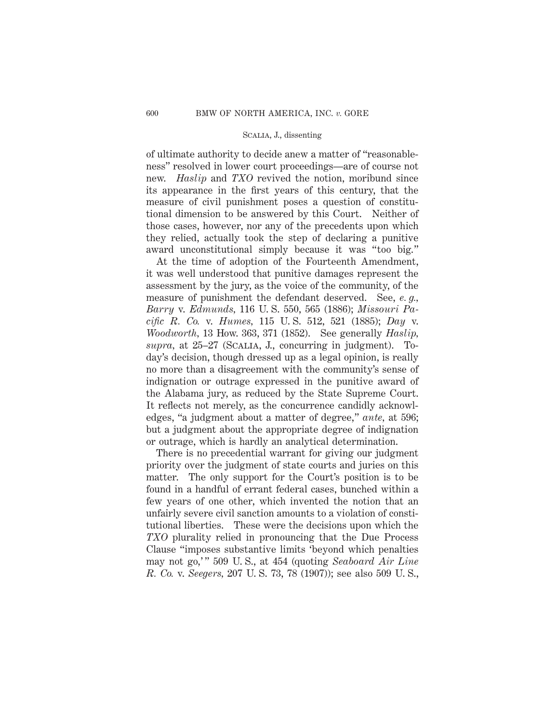of ultimate authority to decide anew a matter of "reasonableness" resolved in lower court proceedings—are of course not new. *Haslip* and *TXO* revived the notion, moribund since its appearance in the first years of this century, that the measure of civil punishment poses a question of constitutional dimension to be answered by this Court. Neither of those cases, however, nor any of the precedents upon which they relied, actually took the step of declaring a punitive award unconstitutional simply because it was "too big."

At the time of adoption of the Fourteenth Amendment, it was well understood that punitive damages represent the assessment by the jury, as the voice of the community, of the measure of punishment the defendant deserved. See, *e. g., Barry* v. *Edmunds,* 116 U. S. 550, 565 (1886); *Missouri Pacific R. Co.* v. *Humes,* 115 U. S. 512, 521 (1885); *Day* v. *Woodworth,* 13 How. 363, 371 (1852). See generally *Haslip, supra,* at 25–27 (Scalia, J., concurring in judgment). Today's decision, though dressed up as a legal opinion, is really no more than a disagreement with the community's sense of indignation or outrage expressed in the punitive award of the Alabama jury, as reduced by the State Supreme Court. It reflects not merely, as the concurrence candidly acknowledges, "a judgment about a matter of degree," *ante,* at 596; but a judgment about the appropriate degree of indignation or outrage, which is hardly an analytical determination.

There is no precedential warrant for giving our judgment priority over the judgment of state courts and juries on this matter. The only support for the Court's position is to be found in a handful of errant federal cases, bunched within a few years of one other, which invented the notion that an unfairly severe civil sanction amounts to a violation of constitutional liberties. These were the decisions upon which the *TXO* plurality relied in pronouncing that the Due Process Clause "imposes substantive limits 'beyond which penalties may not go,' " 509 U. S., at 454 (quoting *Seaboard Air Line R. Co.* v. *Seegers,* 207 U. S. 73, 78 (1907)); see also 509 U. S.,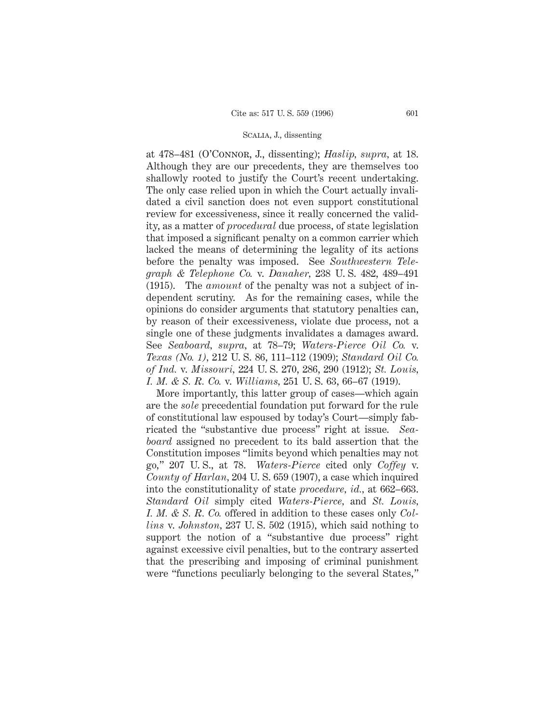at 478–481 (O'Connor, J., dissenting); *Haslip, supra,* at 18. Although they are our precedents, they are themselves too shallowly rooted to justify the Court's recent undertaking. The only case relied upon in which the Court actually invalidated a civil sanction does not even support constitutional review for excessiveness, since it really concerned the validity, as a matter of *procedural* due process, of state legislation that imposed a significant penalty on a common carrier which lacked the means of determining the legality of its actions before the penalty was imposed. See *Southwestern Telegraph & Telephone Co.* v. *Danaher,* 238 U. S. 482, 489–491 (1915). The *amount* of the penalty was not a subject of independent scrutiny. As for the remaining cases, while the opinions do consider arguments that statutory penalties can, by reason of their excessiveness, violate due process, not a single one of these judgments invalidates a damages award. See *Seaboard, supra,* at 78–79; *Waters-Pierce Oil Co.* v. *Texas (No. 1),* 212 U. S. 86, 111–112 (1909); *Standard Oil Co. of Ind.* v. *Missouri,* 224 U. S. 270, 286, 290 (1912); *St. Louis, I. M. & S. R. Co.* v. *Williams,* 251 U. S. 63, 66–67 (1919).

More importantly, this latter group of cases—which again are the *sole* precedential foundation put forward for the rule of constitutional law espoused by today's Court—simply fabricated the "substantive due process" right at issue. *Seaboard* assigned no precedent to its bald assertion that the Constitution imposes "limits beyond which penalties may not go," 207 U. S., at 78. *Waters-Pierce* cited only *Coffey* v. *County of Harlan,* 204 U. S. 659 (1907), a case which inquired into the constitutionality of state *procedure, id.,* at 662–663. *Standard Oil* simply cited *Waters-Pierce,* and *St. Louis, I. M. & S. R. Co.* offered in addition to these cases only *Collins* v. *Johnston,* 237 U. S. 502 (1915), which said nothing to support the notion of a "substantive due process" right against excessive civil penalties, but to the contrary asserted that the prescribing and imposing of criminal punishment were "functions peculiarly belonging to the several States,"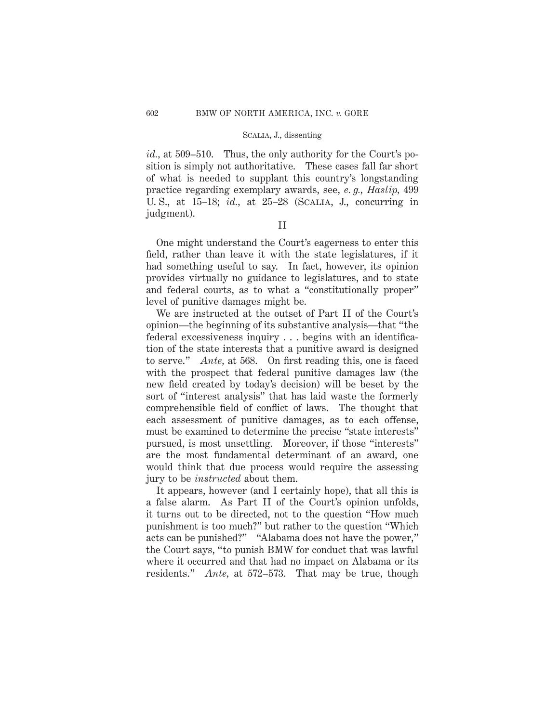*id.,* at 509–510. Thus, the only authority for the Court's position is simply not authoritative. These cases fall far short of what is needed to supplant this country's longstanding practice regarding exemplary awards, see, *e. g., Haslip,* 499 U. S., at 15–18; *id.,* at 25–28 (Scalia, J., concurring in judgment).

II

One might understand the Court's eagerness to enter this field, rather than leave it with the state legislatures, if it had something useful to say. In fact, however, its opinion provides virtually no guidance to legislatures, and to state and federal courts, as to what a "constitutionally proper" level of punitive damages might be.

We are instructed at the outset of Part II of the Court's opinion—the beginning of its substantive analysis—that "the federal excessiveness inquiry . . . begins with an identification of the state interests that a punitive award is designed to serve." *Ante,* at 568. On first reading this, one is faced with the prospect that federal punitive damages law (the new field created by today's decision) will be beset by the sort of "interest analysis" that has laid waste the formerly comprehensible field of conflict of laws. The thought that each assessment of punitive damages, as to each offense, must be examined to determine the precise "state interests" pursued, is most unsettling. Moreover, if those "interests" are the most fundamental determinant of an award, one would think that due process would require the assessing jury to be *instructed* about them.

It appears, however (and I certainly hope), that all this is a false alarm. As Part II of the Court's opinion unfolds, it turns out to be directed, not to the question "How much punishment is too much?" but rather to the question "Which acts can be punished?" "Alabama does not have the power," the Court says, "to punish BMW for conduct that was lawful where it occurred and that had no impact on Alabama or its residents." *Ante,* at 572–573. That may be true, though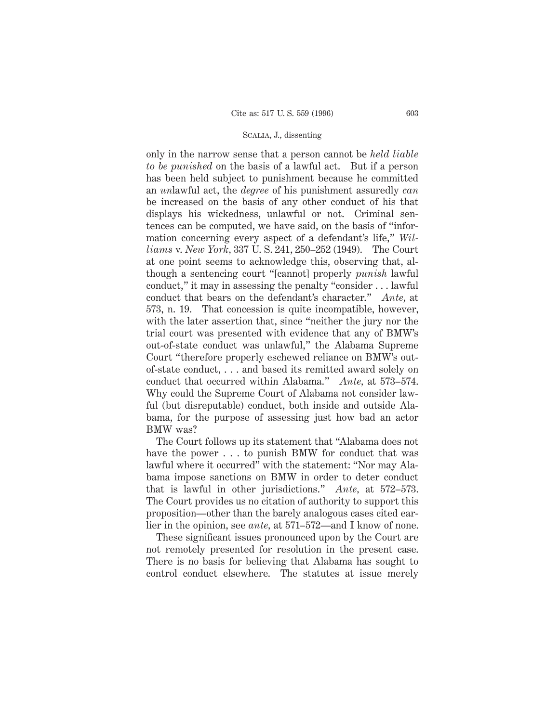only in the narrow sense that a person cannot be *held liable to be punished* on the basis of a lawful act. But if a person has been held subject to punishment because he committed an *un*lawful act, the *degree* of his punishment assuredly *can* be increased on the basis of any other conduct of his that displays his wickedness, unlawful or not. Criminal sentences can be computed, we have said, on the basis of "information concerning every aspect of a defendant's life," *Williams* v. *New York,* 337 U. S. 241, 250–252 (1949). The Court at one point seems to acknowledge this, observing that, although a sentencing court "[cannot] properly *punish* lawful conduct," it may in assessing the penalty "consider... lawful conduct that bears on the defendant's character." *Ante,* at 573, n. 19. That concession is quite incompatible, however, with the later assertion that, since "neither the jury nor the trial court was presented with evidence that any of BMW's out-of-state conduct was unlawful," the Alabama Supreme Court "therefore properly eschewed reliance on BMW's outof-state conduct, . . . and based its remitted award solely on conduct that occurred within Alabama." *Ante,* at 573–574. Why could the Supreme Court of Alabama not consider lawful (but disreputable) conduct, both inside and outside Alabama, for the purpose of assessing just how bad an actor BMW was?

The Court follows up its statement that "Alabama does not have the power . . . to punish BMW for conduct that was lawful where it occurred" with the statement: "Nor may Alabama impose sanctions on BMW in order to deter conduct that is lawful in other jurisdictions." *Ante,* at 572–573. The Court provides us no citation of authority to support this proposition—other than the barely analogous cases cited earlier in the opinion, see *ante,* at 571–572—and I know of none.

These significant issues pronounced upon by the Court are not remotely presented for resolution in the present case. There is no basis for believing that Alabama has sought to control conduct elsewhere. The statutes at issue merely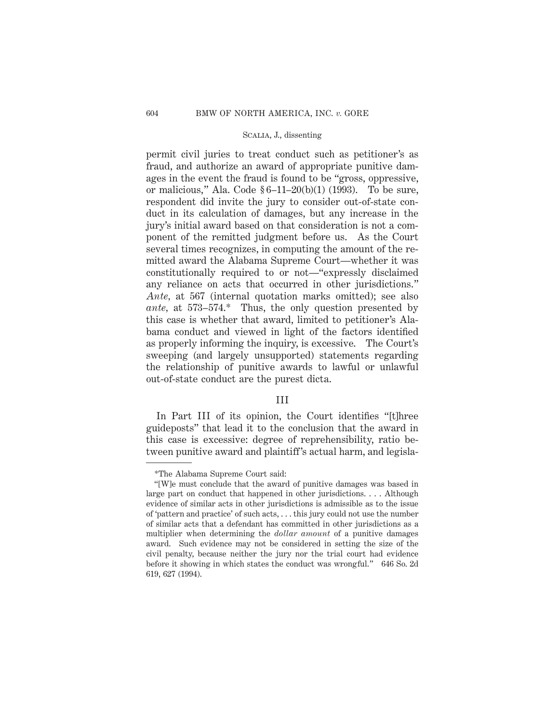permit civil juries to treat conduct such as petitioner's as fraud, and authorize an award of appropriate punitive damages in the event the fraud is found to be "gross, oppressive, or malicious," Ala. Code  $$6-11-20(b)(1)$  (1993). To be sure, respondent did invite the jury to consider out-of-state conduct in its calculation of damages, but any increase in the jury's initial award based on that consideration is not a component of the remitted judgment before us. As the Court several times recognizes, in computing the amount of the remitted award the Alabama Supreme Court—whether it was constitutionally required to or not—"expressly disclaimed any reliance on acts that occurred in other jurisdictions." *Ante,* at 567 (internal quotation marks omitted); see also *ante,* at 573–574.\* Thus, the only question presented by this case is whether that award, limited to petitioner's Alabama conduct and viewed in light of the factors identified as properly informing the inquiry, is excessive. The Court's sweeping (and largely unsupported) statements regarding the relationship of punitive awards to lawful or unlawful out-of-state conduct are the purest dicta.

#### III

In Part III of its opinion, the Court identifies "[t]hree guideposts" that lead it to the conclusion that the award in this case is excessive: degree of reprehensibility, ratio between punitive award and plaintiff's actual harm, and legisla-

<sup>\*</sup>The Alabama Supreme Court said:

<sup>&</sup>quot;[W]e must conclude that the award of punitive damages was based in large part on conduct that happened in other jurisdictions.... Although evidence of similar acts in other jurisdictions is admissible as to the issue of 'pattern and practice' of such acts, . . . this jury could not use the number of similar acts that a defendant has committed in other jurisdictions as a multiplier when determining the *dollar amount* of a punitive damages award. Such evidence may not be considered in setting the size of the civil penalty, because neither the jury nor the trial court had evidence before it showing in which states the conduct was wrongful." 646 So. 2d 619, 627 (1994).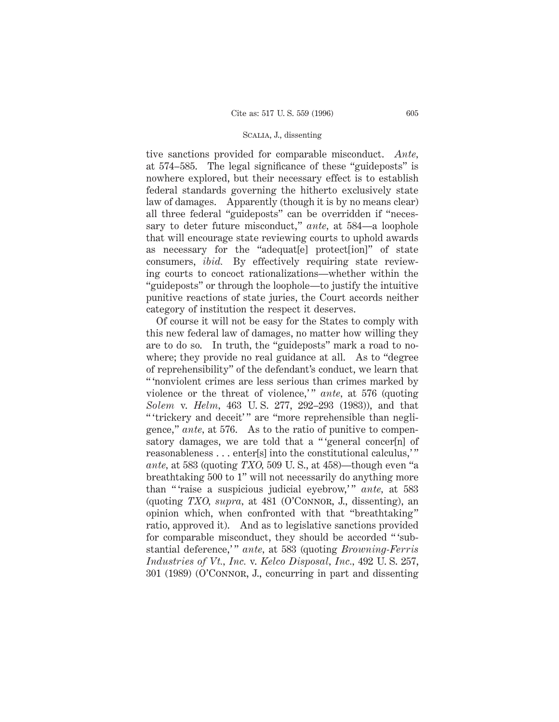tive sanctions provided for comparable misconduct. *Ante,* at 574–585. The legal significance of these "guideposts" is nowhere explored, but their necessary effect is to establish federal standards governing the hitherto exclusively state law of damages. Apparently (though it is by no means clear) all three federal "guideposts" can be overridden if "necessary to deter future misconduct," *ante,* at 584—a loophole that will encourage state reviewing courts to uphold awards as necessary for the "adequat[e] protect[ion]" of state consumers, *ibid.* By effectively requiring state reviewing courts to concoct rationalizations—whether within the "guideposts" or through the loophole—to justify the intuitive punitive reactions of state juries, the Court accords neither category of institution the respect it deserves.

Of course it will not be easy for the States to comply with this new federal law of damages, no matter how willing they are to do so. In truth, the "guideposts" mark a road to nowhere; they provide no real guidance at all. As to "degree of reprehensibility" of the defendant's conduct, we learn that " 'nonviolent crimes are less serious than crimes marked by violence or the threat of violence,'" *ante*, at 576 (quoting *Solem* v. *Helm,* 463 U. S. 277, 292–293 (1983)), and that " 'trickery and deceit' " are "more reprehensible than negligence," *ante,* at 576. As to the ratio of punitive to compensatory damages, we are told that a "'general concer[n] of reasonableness . . . enter[s] into the constitutional calculus,' " *ante,* at 583 (quoting *TXO,* 509 U. S., at 458)—though even "a breathtaking 500 to 1" will not necessarily do anything more than " 'raise a suspicious judicial eyebrow,'" *ante*, at 583 (quoting *TXO, supra,* at 481 (O'Connor, J., dissenting), an opinion which, when confronted with that "breathtaking" ratio, approved it). And as to legislative sanctions provided for comparable misconduct, they should be accorded " 'substantial deference,' " *ante,* at 583 (quoting *Browning-Ferris Industries of Vt., Inc.* v. *Kelco Disposal, Inc.,* 492 U. S. 257, 301 (1989) (O'Connor, J., concurring in part and dissenting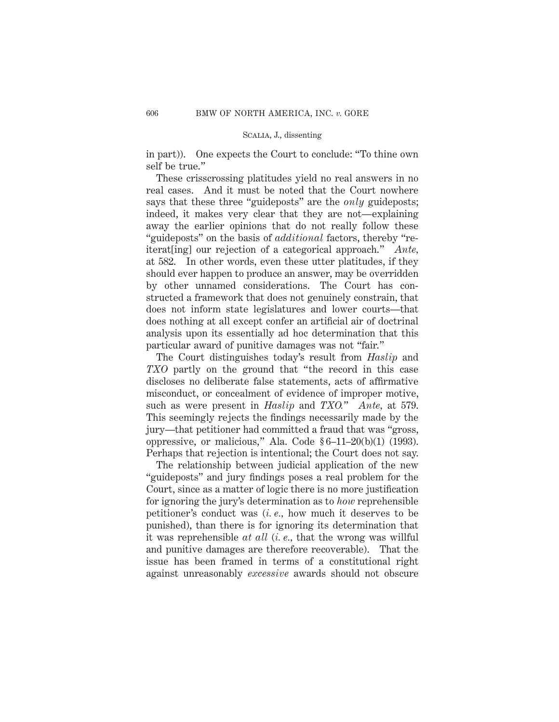in part)). One expects the Court to conclude: "To thine own self be true."

These crisscrossing platitudes yield no real answers in no real cases. And it must be noted that the Court nowhere says that these three "guideposts" are the *only* guideposts; indeed, it makes very clear that they are not—explaining away the earlier opinions that do not really follow these "guideposts" on the basis of *additional* factors, thereby "reiterat[ing] our rejection of a categorical approach." *Ante,* at 582. In other words, even these utter platitudes, if they should ever happen to produce an answer, may be overridden by other unnamed considerations. The Court has constructed a framework that does not genuinely constrain, that does not inform state legislatures and lower courts—that does nothing at all except confer an artificial air of doctrinal analysis upon its essentially ad hoc determination that this particular award of punitive damages was not "fair."

The Court distinguishes today's result from *Haslip* and *TXO* partly on the ground that "the record in this case discloses no deliberate false statements, acts of affirmative misconduct, or concealment of evidence of improper motive, such as were present in *Haslip* and *TXO.*" *Ante,* at 579. This seemingly rejects the findings necessarily made by the jury—that petitioner had committed a fraud that was "gross, oppressive, or malicious," Ala. Code § 6–11–20(b)(1) (1993). Perhaps that rejection is intentional; the Court does not say.

The relationship between judicial application of the new "guideposts" and jury findings poses a real problem for the Court, since as a matter of logic there is no more justification for ignoring the jury's determination as to *how* reprehensible petitioner's conduct was (*i. e.,* how much it deserves to be punished), than there is for ignoring its determination that it was reprehensible *at all* (*i. e.,* that the wrong was willful and punitive damages are therefore recoverable). That the issue has been framed in terms of a constitutional right against unreasonably *excessive* awards should not obscure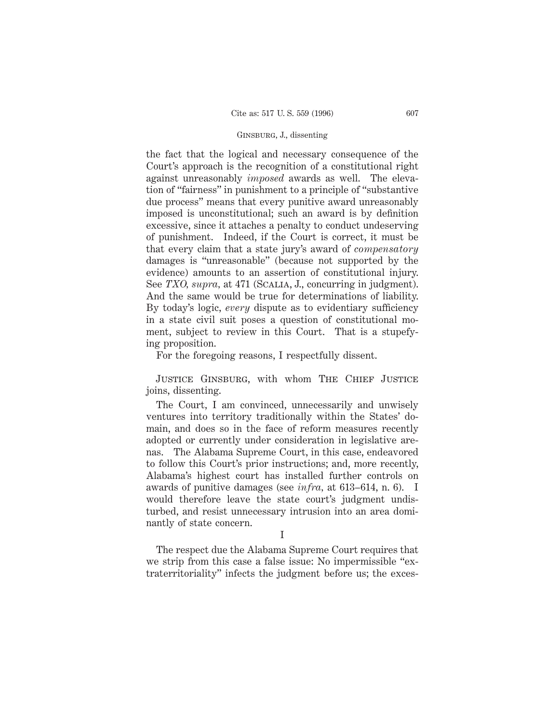the fact that the logical and necessary consequence of the Court's approach is the recognition of a constitutional right against unreasonably *imposed* awards as well. The elevation of "fairness" in punishment to a principle of "substantive due process" means that every punitive award unreasonably imposed is unconstitutional; such an award is by definition excessive, since it attaches a penalty to conduct undeserving of punishment. Indeed, if the Court is correct, it must be that every claim that a state jury's award of *compensatory* damages is "unreasonable" (because not supported by the evidence) amounts to an assertion of constitutional injury. See *TXO*, *supra*, at 471 (SCALIA, J., concurring in judgment). And the same would be true for determinations of liability. By today's logic, *every* dispute as to evidentiary sufficiency in a state civil suit poses a question of constitutional moment, subject to review in this Court. That is a stupefying proposition.

For the foregoing reasons, I respectfully dissent.

JUSTICE GINSBURG, with whom THE CHIEF JUSTICE joins, dissenting.

The Court, I am convinced, unnecessarily and unwisely ventures into territory traditionally within the States' domain, and does so in the face of reform measures recently adopted or currently under consideration in legislative arenas. The Alabama Supreme Court, in this case, endeavored to follow this Court's prior instructions; and, more recently, Alabama's highest court has installed further controls on awards of punitive damages (see *infra,* at 613–614, n. 6). I would therefore leave the state court's judgment undisturbed, and resist unnecessary intrusion into an area dominantly of state concern.

I

The respect due the Alabama Supreme Court requires that we strip from this case a false issue: No impermissible "extraterritoriality" infects the judgment before us; the exces-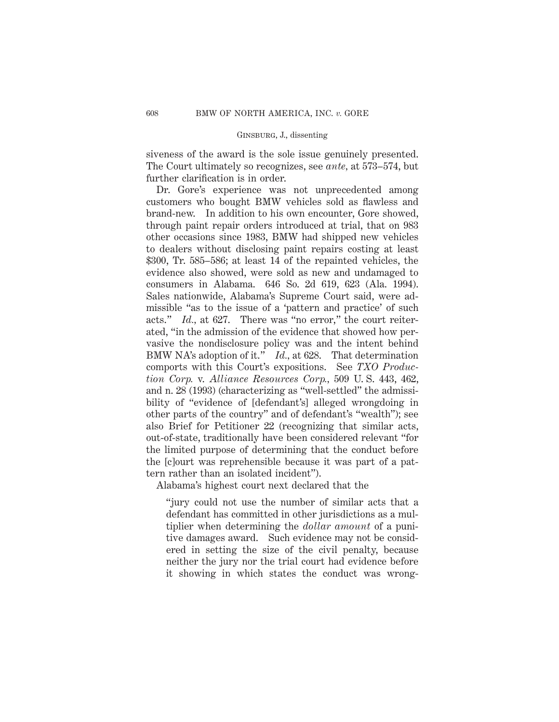siveness of the award is the sole issue genuinely presented. The Court ultimately so recognizes, see *ante,* at 573–574, but further clarification is in order.

Dr. Gore's experience was not unprecedented among customers who bought BMW vehicles sold as flawless and brand-new. In addition to his own encounter, Gore showed, through paint repair orders introduced at trial, that on 983 other occasions since 1983, BMW had shipped new vehicles to dealers without disclosing paint repairs costing at least \$300, Tr. 585–586; at least 14 of the repainted vehicles, the evidence also showed, were sold as new and undamaged to consumers in Alabama. 646 So. 2d 619, 623 (Ala. 1994). Sales nationwide, Alabama's Supreme Court said, were admissible "as to the issue of a 'pattern and practice' of such acts." *Id.,* at 627. There was "no error," the court reiterated, "in the admission of the evidence that showed how pervasive the nondisclosure policy was and the intent behind BMW NA's adoption of it." *Id.,* at 628. That determination comports with this Court's expositions. See *TXO Production Corp.* v. *Alliance Resources Corp.,* 509 U. S. 443, 462, and n. 28 (1993) (characterizing as "well-settled" the admissibility of "evidence of [defendant's] alleged wrongdoing in other parts of the country" and of defendant's "wealth"); see also Brief for Petitioner 22 (recognizing that similar acts, out-of-state, traditionally have been considered relevant "for the limited purpose of determining that the conduct before the [c]ourt was reprehensible because it was part of a pattern rather than an isolated incident").

Alabama's highest court next declared that the

"jury could not use the number of similar acts that a defendant has committed in other jurisdictions as a multiplier when determining the *dollar amount* of a punitive damages award. Such evidence may not be considered in setting the size of the civil penalty, because neither the jury nor the trial court had evidence before it showing in which states the conduct was wrong-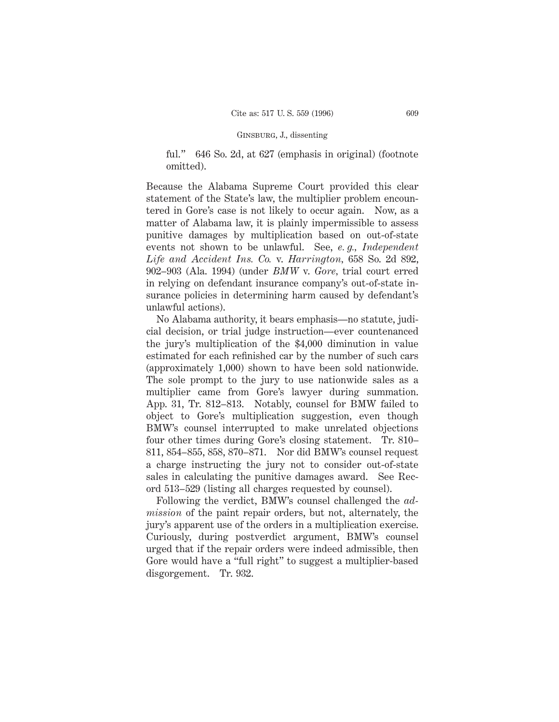ful." 646 So. 2d, at 627 (emphasis in original) (footnote omitted).

Because the Alabama Supreme Court provided this clear statement of the State's law, the multiplier problem encountered in Gore's case is not likely to occur again. Now, as a matter of Alabama law, it is plainly impermissible to assess punitive damages by multiplication based on out-of-state events not shown to be unlawful. See, *e. g., Independent Life and Accident Ins. Co.* v. *Harrington,* 658 So. 2d 892, 902–903 (Ala. 1994) (under *BMW* v. *Gore,* trial court erred in relying on defendant insurance company's out-of-state insurance policies in determining harm caused by defendant's unlawful actions).

No Alabama authority, it bears emphasis—no statute, judicial decision, or trial judge instruction—ever countenanced the jury's multiplication of the \$4,000 diminution in value estimated for each refinished car by the number of such cars (approximately 1,000) shown to have been sold nationwide. The sole prompt to the jury to use nationwide sales as a multiplier came from Gore's lawyer during summation. App. 31, Tr. 812–813. Notably, counsel for BMW failed to object to Gore's multiplication suggestion, even though BMW's counsel interrupted to make unrelated objections four other times during Gore's closing statement. Tr. 810– 811, 854–855, 858, 870–871. Nor did BMW's counsel request a charge instructing the jury not to consider out-of-state sales in calculating the punitive damages award. See Record 513–529 (listing all charges requested by counsel).

Following the verdict, BMW's counsel challenged the *admission* of the paint repair orders, but not, alternately, the jury's apparent use of the orders in a multiplication exercise. Curiously, during postverdict argument, BMW's counsel urged that if the repair orders were indeed admissible, then Gore would have a "full right" to suggest a multiplier-based disgorgement. Tr. 932.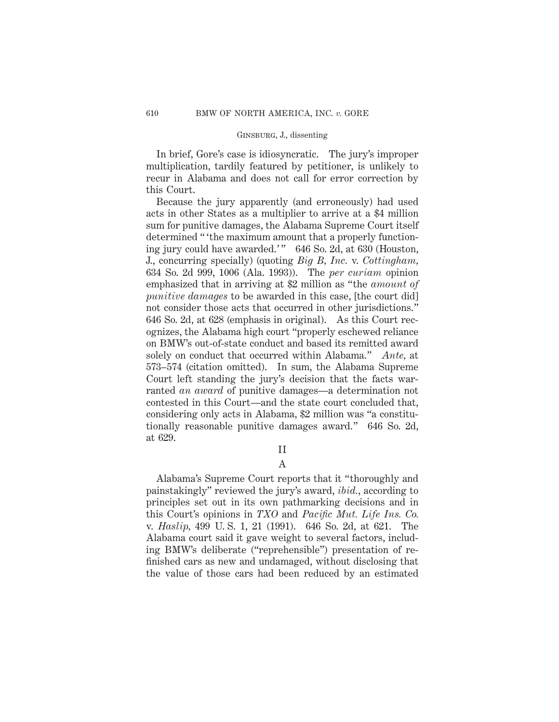In brief, Gore's case is idiosyncratic. The jury's improper multiplication, tardily featured by petitioner, is unlikely to recur in Alabama and does not call for error correction by this Court.

Because the jury apparently (and erroneously) had used acts in other States as a multiplier to arrive at a \$4 million sum for punitive damages, the Alabama Supreme Court itself determined " the maximum amount that a properly functioning jury could have awarded.'" 646 So. 2d, at 630 (Houston, J., concurring specially) (quoting *Big B, Inc.* v. *Cottingham,* 634 So. 2d 999, 1006 (Ala. 1993)). The *per curiam* opinion emphasized that in arriving at \$2 million as "the *amount of punitive damages* to be awarded in this case, [the court did] not consider those acts that occurred in other jurisdictions." 646 So. 2d, at 628 (emphasis in original). As this Court recognizes, the Alabama high court "properly eschewed reliance on BMW's out-of-state conduct and based its remitted award solely on conduct that occurred within Alabama." *Ante,* at 573–574 (citation omitted). In sum, the Alabama Supreme Court left standing the jury's decision that the facts warranted *an award* of punitive damages—a determination not contested in this Court—and the state court concluded that, considering only acts in Alabama, \$2 million was "a constitutionally reasonable punitive damages award." 646 So. 2d, at 629.

> II A

Alabama's Supreme Court reports that it "thoroughly and painstakingly" reviewed the jury's award, *ibid.*, according to principles set out in its own pathmarking decisions and in this Court's opinions in *TXO* and *Pacific Mut. Life Ins. Co.* v. *Haslip,* 499 U. S. 1, 21 (1991). 646 So. 2d, at 621. The Alabama court said it gave weight to several factors, including BMW's deliberate ("reprehensible") presentation of refinished cars as new and undamaged, without disclosing that the value of those cars had been reduced by an estimated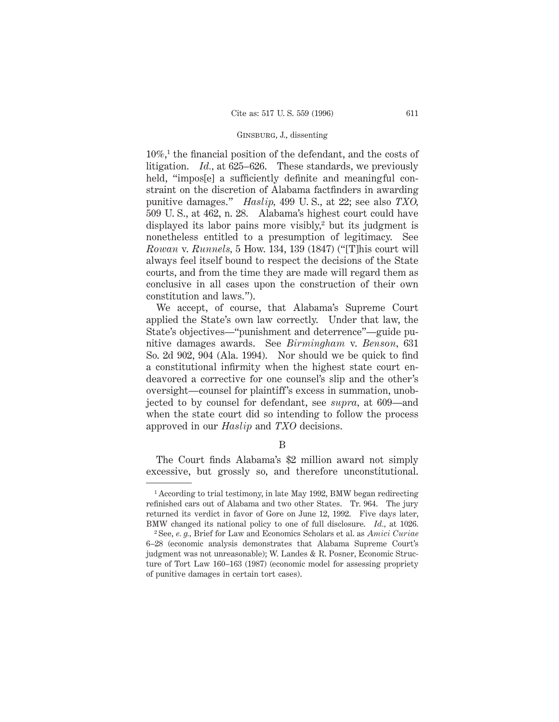$10\%$ ,<sup>1</sup> the financial position of the defendant, and the costs of litigation. *Id.,* at 625–626. These standards, we previously held, "impos[e] a sufficiently definite and meaningful constraint on the discretion of Alabama factfinders in awarding punitive damages." *Haslip,* 499 U. S., at 22; see also *TXO,* 509 U. S., at 462, n. 28. Alabama's highest court could have displayed its labor pains more visibly, $2$  but its judgment is nonetheless entitled to a presumption of legitimacy. See *Rowan* v. *Runnels,* 5 How. 134, 139 (1847) ("[T]his court will always feel itself bound to respect the decisions of the State courts, and from the time they are made will regard them as conclusive in all cases upon the construction of their own constitution and laws.").

We accept, of course, that Alabama's Supreme Court applied the State's own law correctly. Under that law, the State's objectives—"punishment and deterrence"—guide punitive damages awards. See *Birmingham* v. *Benson,* 631 So. 2d 902, 904 (Ala. 1994). Nor should we be quick to find a constitutional infirmity when the highest state court endeavored a corrective for one counsel's slip and the other's oversight—counsel for plaintiff's excess in summation, unobjected to by counsel for defendant, see *supra,* at 609—and when the state court did so intending to follow the process approved in our *Haslip* and *TXO* decisions.

B

The Court finds Alabama's \$2 million award not simply excessive, but grossly so, and therefore unconstitutional.

<sup>&</sup>lt;sup>1</sup> According to trial testimony, in late May 1992, BMW began redirecting refinished cars out of Alabama and two other States. Tr. 964. The jury returned its verdict in favor of Gore on June 12, 1992. Five days later, BMW changed its national policy to one of full disclosure. *Id.,* at 1026.

<sup>2</sup> See, *e. g.,* Brief for Law and Economics Scholars et al. as *Amici Curiae* 6–28 (economic analysis demonstrates that Alabama Supreme Court's judgment was not unreasonable); W. Landes & R. Posner, Economic Structure of Tort Law 160–163 (1987) (economic model for assessing propriety of punitive damages in certain tort cases).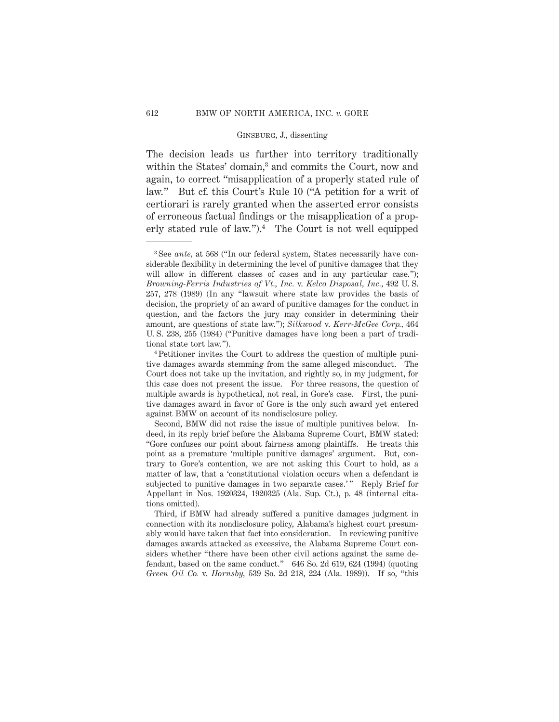The decision leads us further into territory traditionally within the States' domain,<sup>3</sup> and commits the Court, now and again, to correct "misapplication of a properly stated rule of law." But cf. this Court's Rule 10 ("A petition for a writ of certiorari is rarely granted when the asserted error consists of erroneous factual findings or the misapplication of a properly stated rule of law." $)$ .<sup>4</sup> The Court is not well equipped

<sup>3</sup> See *ante,* at 568 ("In our federal system, States necessarily have considerable flexibility in determining the level of punitive damages that they will allow in different classes of cases and in any particular case."); *Browning-Ferris Industries of Vt., Inc.* v. *Kelco Disposal, Inc.,* 492 U. S. 257, 278 (1989) (In any "lawsuit where state law provides the basis of decision, the propriety of an award of punitive damages for the conduct in question, and the factors the jury may consider in determining their amount, are questions of state law."); *Silkwood* v. *Kerr-McGee Corp.,* 464 U. S. 238, 255 (1984) ("Punitive damages have long been a part of traditional state tort law.").

<sup>4</sup> Petitioner invites the Court to address the question of multiple punitive damages awards stemming from the same alleged misconduct. The Court does not take up the invitation, and rightly so, in my judgment, for this case does not present the issue. For three reasons, the question of multiple awards is hypothetical, not real, in Gore's case. First, the punitive damages award in favor of Gore is the only such award yet entered against BMW on account of its nondisclosure policy.

Second, BMW did not raise the issue of multiple punitives below. Indeed, in its reply brief before the Alabama Supreme Court, BMW stated: "Gore confuses our point about fairness among plaintiffs. He treats this point as a premature 'multiple punitive damages' argument. But, contrary to Gore's contention, we are not asking this Court to hold, as a matter of law, that a 'constitutional violation occurs when a defendant is subjected to punitive damages in two separate cases.'" Reply Brief for Appellant in Nos. 1920324, 1920325 (Ala. Sup. Ct.), p. 48 (internal citations omitted).

Third, if BMW had already suffered a punitive damages judgment in connection with its nondisclosure policy, Alabama's highest court presumably would have taken that fact into consideration. In reviewing punitive damages awards attacked as excessive, the Alabama Supreme Court considers whether "there have been other civil actions against the same defendant, based on the same conduct." 646 So. 2d 619, 624 (1994) (quoting *Green Oil Co.* v. *Hornsby,* 539 So. 2d 218, 224 (Ala. 1989)). If so, "this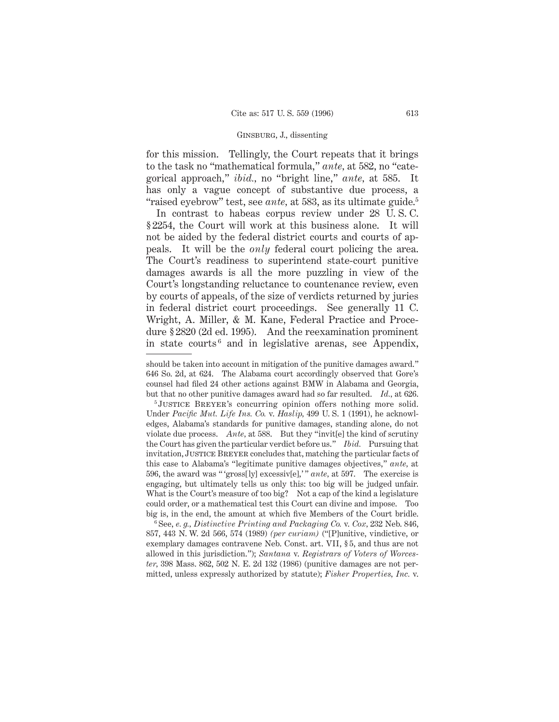for this mission. Tellingly, the Court repeats that it brings to the task no "mathematical formula," *ante,* at 582, no "categorical approach," *ibid.,* no "bright line," *ante,* at 585. It has only a vague concept of substantive due process, a "raised eyebrow" test, see *ante,* at 583, as its ultimate guide.5

In contrast to habeas corpus review under 28 U. S. C. § 2254, the Court will work at this business alone. It will not be aided by the federal district courts and courts of appeals. It will be the *only* federal court policing the area. The Court's readiness to superintend state-court punitive damages awards is all the more puzzling in view of the Court's longstanding reluctance to countenance review, even by courts of appeals, of the size of verdicts returned by juries in federal district court proceedings. See generally 11 C. Wright, A. Miller, & M. Kane, Federal Practice and Procedure § 2820 (2d ed. 1995). And the reexamination prominent in state courts<sup> $6$ </sup> and in legislative arenas, see Appendix,

<sup>6</sup> See, *e. g., Distinctive Printing and Packaging Co.* v. *Cox,* 232 Neb. 846, 857, 443 N. W. 2d 566, 574 (1989) *(per curiam)* ("[P]unitive, vindictive, or exemplary damages contravene Neb. Const. art. VII, § 5, and thus are not allowed in this jurisdiction."); *Santana* v. *Registrars of Voters of Worcester,* 398 Mass. 862, 502 N. E. 2d 132 (1986) (punitive damages are not permitted, unless expressly authorized by statute); *Fisher Properties, Inc.* v.

should be taken into account in mitigation of the punitive damages award." 646 So. 2d, at 624. The Alabama court accordingly observed that Gore's counsel had filed 24 other actions against BMW in Alabama and Georgia, but that no other punitive damages award had so far resulted. *Id.,* at 626.

<sup>&</sup>lt;sup>5</sup> JUSTICE BREYER's concurring opinion offers nothing more solid. Under *Pacific Mut. Life Ins. Co.* v. *Haslip,* 499 U. S. 1 (1991), he acknowledges, Alabama's standards for punitive damages, standing alone, do not violate due process. *Ante,* at 588. But they "invit[e] the kind of scrutiny the Court has given the particular verdict before us." *Ibid.* Pursuing that invitation, Justice Breyer concludes that, matching the particular facts of this case to Alabama's "legitimate punitive damages objectives," *ante,* at 596, the award was " 'gross[ly] excessiv[e],' " *ante,* at 597. The exercise is engaging, but ultimately tells us only this: too big will be judged unfair. What is the Court's measure of too big? Not a cap of the kind a legislature could order, or a mathematical test this Court can divine and impose. Too big is, in the end, the amount at which five Members of the Court bridle.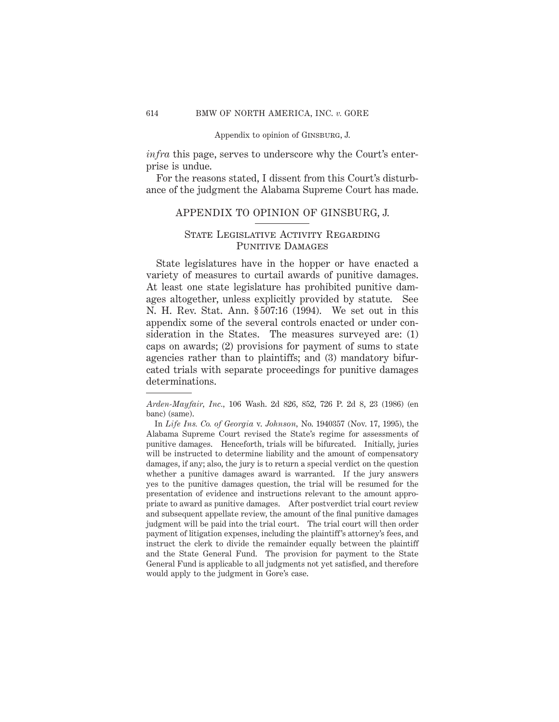*infra* this page, serves to underscore why the Court's enterprise is undue.

For the reasons stated, I dissent from this Court's disturbance of the judgment the Alabama Supreme Court has made.

## APPENDIX TO OPINION OF GINSBURG, J.

## STATE LEGISLATIVE ACTIVITY REGARDING PUNITIVE DAMAGES

State legislatures have in the hopper or have enacted a variety of measures to curtail awards of punitive damages. At least one state legislature has prohibited punitive damages altogether, unless explicitly provided by statute. See N. H. Rev. Stat. Ann. § 507:16 (1994). We set out in this appendix some of the several controls enacted or under consideration in the States. The measures surveyed are: (1) caps on awards; (2) provisions for payment of sums to state agencies rather than to plaintiffs; and (3) mandatory bifurcated trials with separate proceedings for punitive damages determinations.

*Arden-Mayfair, Inc.,* 106 Wash. 2d 826, 852, 726 P. 2d 8, 23 (1986) (en banc) (same).

In *Life Ins. Co. of Georgia* v. *Johnson,* No. 1940357 (Nov. 17, 1995), the Alabama Supreme Court revised the State's regime for assessments of punitive damages. Henceforth, trials will be bifurcated. Initially, juries will be instructed to determine liability and the amount of compensatory damages, if any; also, the jury is to return a special verdict on the question whether a punitive damages award is warranted. If the jury answers yes to the punitive damages question, the trial will be resumed for the presentation of evidence and instructions relevant to the amount appropriate to award as punitive damages. After postverdict trial court review and subsequent appellate review, the amount of the final punitive damages judgment will be paid into the trial court. The trial court will then order payment of litigation expenses, including the plaintiff's attorney's fees, and instruct the clerk to divide the remainder equally between the plaintiff and the State General Fund. The provision for payment to the State General Fund is applicable to all judgments not yet satisfied, and therefore would apply to the judgment in Gore's case.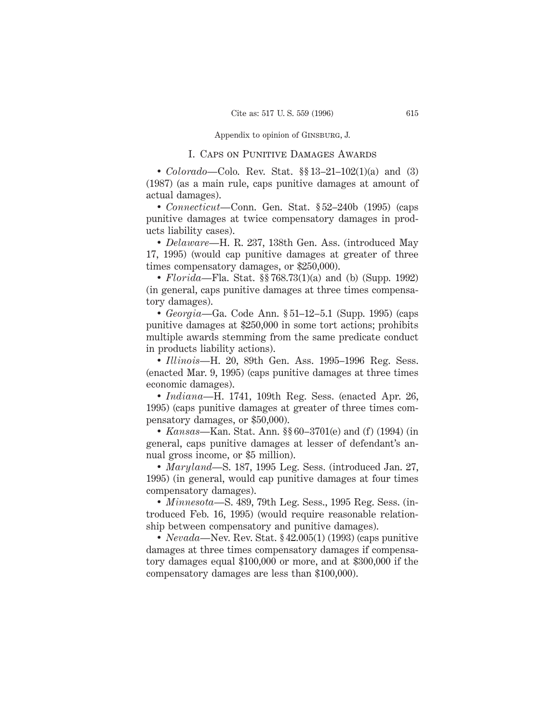# I. Caps on Punitive Damages Awards

• *Colorado*—Colo. Rev. Stat. §§ 13–21–102(1)(a) and (3) (1987) (as a main rule, caps punitive damages at amount of actual damages).

• *Connecticut*—Conn. Gen. Stat. § 52–240b (1995) (caps punitive damages at twice compensatory damages in products liability cases).

• *Delaware*—H. R. 237, 138th Gen. Ass. (introduced May 17, 1995) (would cap punitive damages at greater of three times compensatory damages, or \$250,000).

• *Florida*—Fla. Stat. §§ 768.73(1)(a) and (b) (Supp. 1992) (in general, caps punitive damages at three times compensatory damages).

• *Georgia*—Ga. Code Ann. § 51–12–5.1 (Supp. 1995) (caps punitive damages at \$250,000 in some tort actions; prohibits multiple awards stemming from the same predicate conduct in products liability actions).

• *Illinois*—H. 20, 89th Gen. Ass. 1995–1996 Reg. Sess. (enacted Mar. 9, 1995) (caps punitive damages at three times economic damages).

• *Indiana*—H. 1741, 109th Reg. Sess. (enacted Apr. 26, 1995) (caps punitive damages at greater of three times compensatory damages, or \$50,000).

• *Kansas*—Kan. Stat. Ann. §§ 60–3701(e) and (f) (1994) (in general, caps punitive damages at lesser of defendant's annual gross income, or \$5 million).

• *Maryland*—S. 187, 1995 Leg. Sess. (introduced Jan. 27, 1995) (in general, would cap punitive damages at four times compensatory damages).

• *Minnesota*—S. 489, 79th Leg. Sess., 1995 Reg. Sess. (introduced Feb. 16, 1995) (would require reasonable relationship between compensatory and punitive damages).

• *Nevada*—Nev. Rev. Stat. § 42.005(1) (1993) (caps punitive damages at three times compensatory damages if compensatory damages equal \$100,000 or more, and at \$300,000 if the compensatory damages are less than \$100,000).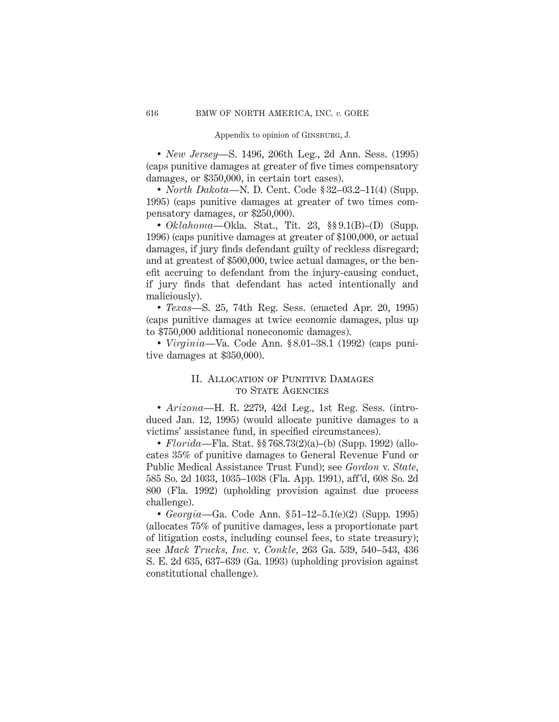• *New Jersey*—S. 1496, 206th Leg., 2d Ann. Sess. (1995) (caps punitive damages at greater of five times compensatory damages, or \$350,000, in certain tort cases).

• *North Dakota*—N. D. Cent. Code § 32–03.2–11(4) (Supp. 1995) (caps punitive damages at greater of two times compensatory damages, or \$250,000).

• *Oklahoma*—Okla. Stat., Tit. 23, §§ 9.1(B)–(D) (Supp. 1996) (caps punitive damages at greater of \$100,000, or actual damages, if jury finds defendant guilty of reckless disregard; and at greatest of \$500,000, twice actual damages, or the benefit accruing to defendant from the injury-causing conduct, if jury finds that defendant has acted intentionally and maliciously).

• *Texas*—S. 25, 74th Reg. Sess. (enacted Apr. 20, 1995) (caps punitive damages at twice economic damages, plus up to \$750,000 additional noneconomic damages).

• *Virginia*—Va. Code Ann. § 8.01–38.1 (1992) (caps punitive damages at \$350,000).

# II. Allocation of Punitive Damages to State Agencies

• *Arizona*—H. R. 2279, 42d Leg., 1st Reg. Sess. (introduced Jan. 12, 1995) (would allocate punitive damages to a victims' assistance fund, in specified circumstances).

• *Florida*—Fla. Stat. §§ 768.73(2)(a)–(b) (Supp. 1992) (allocates 35% of punitive damages to General Revenue Fund or Public Medical Assistance Trust Fund); see *Gordon* v. *State,* 585 So. 2d 1033, 1035–1038 (Fla. App. 1991), aff'd, 608 So. 2d 800 (Fla. 1992) (upholding provision against due process challenge).

• *Georgia*—Ga. Code Ann. § 51–12–5.1(e)(2) (Supp. 1995) (allocates 75% of punitive damages, less a proportionate part of litigation costs, including counsel fees, to state treasury); see *Mack Trucks, Inc.* v. *Conkle,* 263 Ga. 539, 540–543, 436 S. E. 2d 635, 637–639 (Ga. 1993) (upholding provision against constitutional challenge).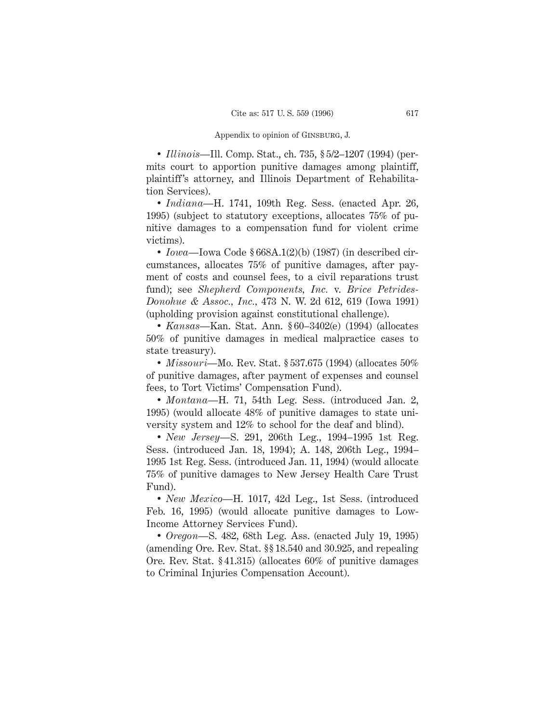• *Illinois*—Ill. Comp. Stat., ch. 735, § 5/2–1207 (1994) (permits court to apportion punitive damages among plaintiff, plaintiff's attorney, and Illinois Department of Rehabilitation Services).

• *Indiana*—H. 1741, 109th Reg. Sess. (enacted Apr. 26, 1995) (subject to statutory exceptions, allocates 75% of punitive damages to a compensation fund for violent crime victims).

• *Iowa*—Iowa Code § 668A.1(2)(b) (1987) (in described circumstances, allocates 75% of punitive damages, after payment of costs and counsel fees, to a civil reparations trust fund); see *Shepherd Components, Inc.* v. *Brice Petrides-Donohue & Assoc., Inc.,* 473 N. W. 2d 612, 619 (Iowa 1991) (upholding provision against constitutional challenge).

• *Kansas*—Kan. Stat. Ann. § 60–3402(e) (1994) (allocates 50% of punitive damages in medical malpractice cases to state treasury).

• *Missouri*—Mo. Rev. Stat. § 537.675 (1994) (allocates 50% of punitive damages, after payment of expenses and counsel fees, to Tort Victims' Compensation Fund).

• *Montana*—H. 71, 54th Leg. Sess. (introduced Jan. 2, 1995) (would allocate 48% of punitive damages to state university system and 12% to school for the deaf and blind).

• *New Jersey*—S. 291, 206th Leg., 1994–1995 1st Reg. Sess. (introduced Jan. 18, 1994); A. 148, 206th Leg., 1994– 1995 1st Reg. Sess. (introduced Jan. 11, 1994) (would allocate 75% of punitive damages to New Jersey Health Care Trust Fund).

• *New Mexico*—H. 1017, 42d Leg., 1st Sess. (introduced Feb. 16, 1995) (would allocate punitive damages to Low-Income Attorney Services Fund).

• *Oregon*—S. 482, 68th Leg. Ass. (enacted July 19, 1995) (amending Ore. Rev. Stat. §§ 18.540 and 30.925, and repealing Ore. Rev. Stat. § 41.315) (allocates 60% of punitive damages to Criminal Injuries Compensation Account).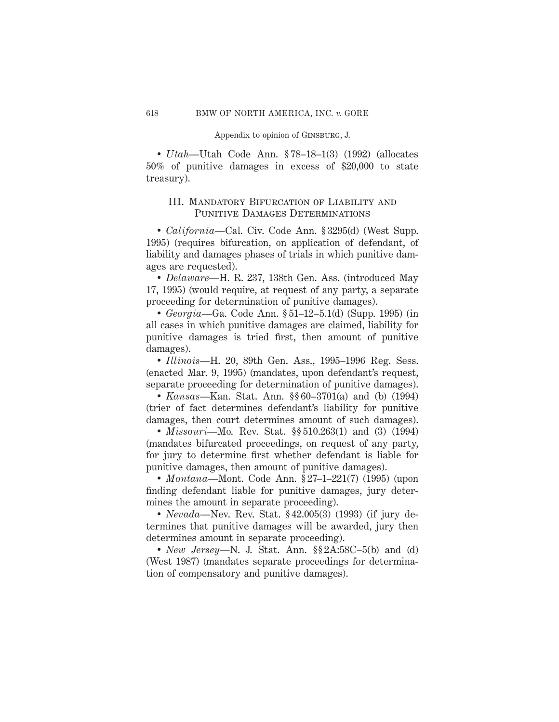• *Utah*—Utah Code Ann. § 78–18–1(3) (1992) (allocates 50% of punitive damages in excess of \$20,000 to state treasury).

## III. Mandatory Bifurcation of Liability andPUNITIVE DAMAGES DETERMINATIONS

• *California*—Cal. Civ. Code Ann. § 3295(d) (West Supp. 1995) (requires bifurcation, on application of defendant, of liability and damages phases of trials in which punitive damages are requested).

• *Delaware*—H. R. 237, 138th Gen. Ass. (introduced May 17, 1995) (would require, at request of any party, a separate proceeding for determination of punitive damages).

• *Georgia*—Ga. Code Ann. § 51–12–5.1(d) (Supp. 1995) (in all cases in which punitive damages are claimed, liability for punitive damages is tried first, then amount of punitive damages).

• *Illinois*—H. 20, 89th Gen. Ass., 1995–1996 Reg. Sess. (enacted Mar. 9, 1995) (mandates, upon defendant's request, separate proceeding for determination of punitive damages).

• *Kansas*—Kan. Stat. Ann. §§ 60–3701(a) and (b) (1994) (trier of fact determines defendant's liability for punitive damages, then court determines amount of such damages).

• *Missouri*—Mo. Rev. Stat. §§ 510.263(1) and (3) (1994) (mandates bifurcated proceedings, on request of any party, for jury to determine first whether defendant is liable for punitive damages, then amount of punitive damages).

• *Montana*—Mont. Code Ann. § 27–1–221(7) (1995) (upon finding defendant liable for punitive damages, jury determines the amount in separate proceeding).

• *Nevada*—Nev. Rev. Stat. §42,005(3) (1993) (if jury determines that punitive damages will be awarded, jury then determines amount in separate proceeding).

• *New Jersey*—N. J. Stat. Ann. §§ 2A:58C–5(b) and (d) (West 1987) (mandates separate proceedings for determination of compensatory and punitive damages).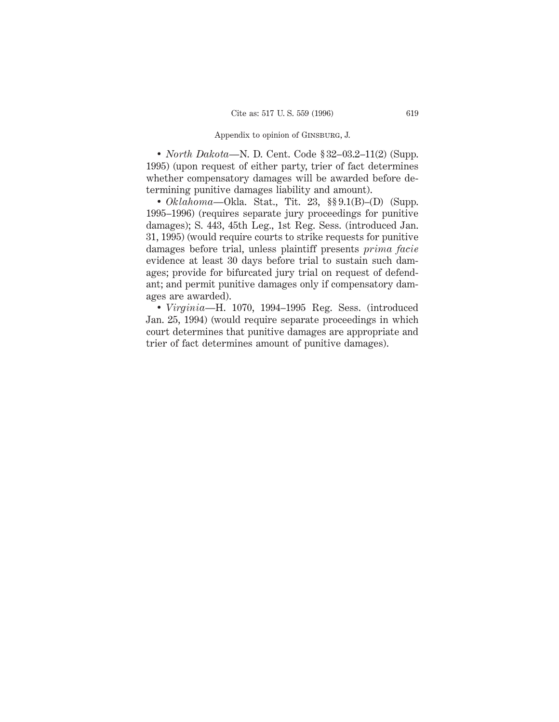• *North Dakota*—N. D. Cent. Code § 32–03.2–11(2) (Supp. 1995) (upon request of either party, trier of fact determines whether compensatory damages will be awarded before determining punitive damages liability and amount).

• *Oklahoma*—Okla. Stat., Tit. 23, §§ 9.1(B)–(D) (Supp. 1995–1996) (requires separate jury proceedings for punitive damages); S. 443, 45th Leg., 1st Reg. Sess. (introduced Jan. 31, 1995) (would require courts to strike requests for punitive damages before trial, unless plaintiff presents *prima facie* evidence at least 30 days before trial to sustain such damages; provide for bifurcated jury trial on request of defendant; and permit punitive damages only if compensatory damages are awarded).

• *Virginia*—H. 1070, 1994–1995 Reg. Sess. (introduced Jan. 25, 1994) (would require separate proceedings in which court determines that punitive damages are appropriate and trier of fact determines amount of punitive damages).